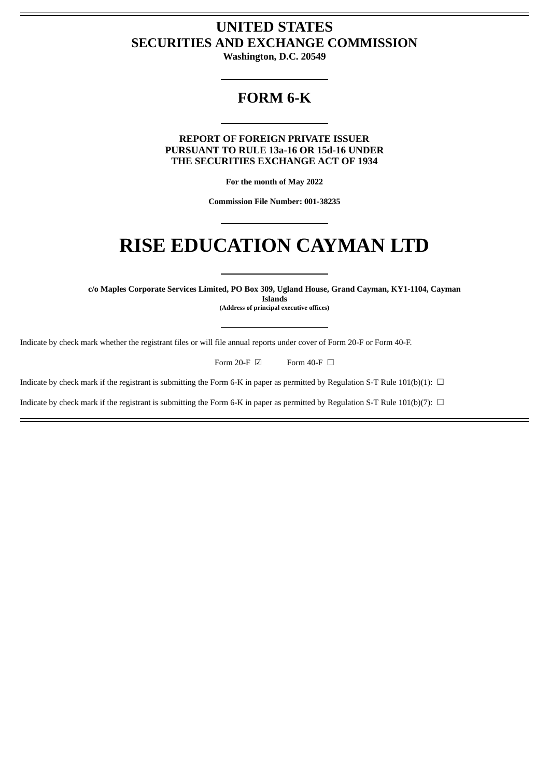# **UNITED STATES SECURITIES AND EXCHANGE COMMISSION**

**Washington, D.C. 20549**

# **FORM 6-K**

**REPORT OF FOREIGN PRIVATE ISSUER PURSUANT TO RULE 13a-16 OR 15d-16 UNDER THE SECURITIES EXCHANGE ACT OF 1934**

**For the month of May 2022**

**Commission File Number: 001-38235**

# **RISE EDUCATION CAYMAN LTD**

**c/o Maples Corporate Services Limited, PO Box 309, Ugland House, Grand Cayman, KY1-1104, Cayman Islands (Address of principal executive offices)**

Indicate by check mark whether the registrant files or will file annual reports under cover of Form 20-F or Form 40-F.

Form 20-F  $\boxdot$  Form 40-F  $\Box$ 

Indicate by check mark if the registrant is submitting the Form 6-K in paper as permitted by Regulation S-T Rule 101(b)(1):  $\Box$ 

Indicate by check mark if the registrant is submitting the Form 6-K in paper as permitted by Regulation S-T Rule 101(b)(7):  $\Box$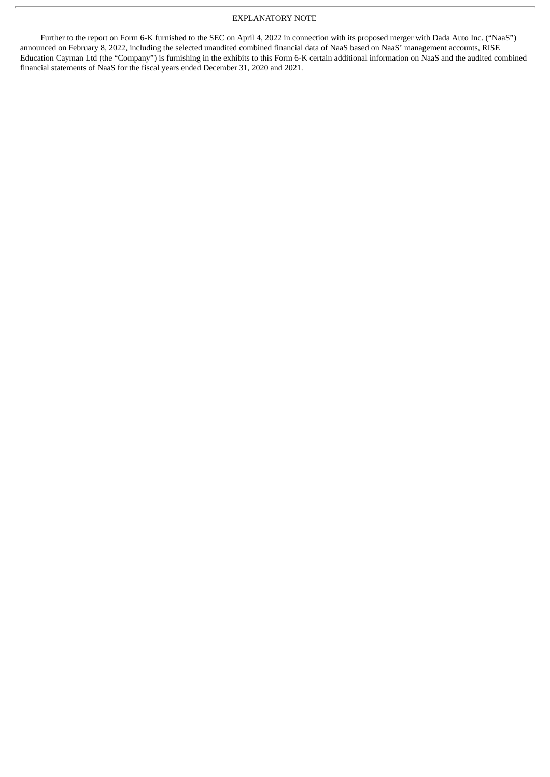## EXPLANATORY NOTE

Further to the report on Form 6-K furnished to the SEC on April 4, 2022 in connection with its proposed merger with Dada Auto Inc. ("NaaS") announced on February 8, 2022, including the selected unaudited combined financial data of NaaS based on NaaS' management accounts, RISE Education Cayman Ltd (the "Company") is furnishing in the exhibits to this Form 6-K certain additional information on NaaS and the audited combined financial statements of NaaS for the fiscal years ended December 31, 2020 and 2021.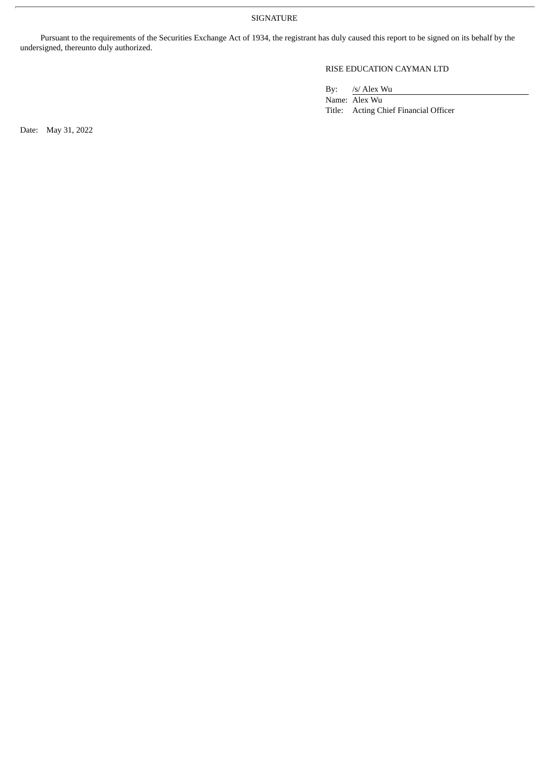SIGNATURE

Pursuant to the requirements of the Securities Exchange Act of 1934, the registrant has duly caused this report to be signed on its behalf by the undersigned, thereunto duly authorized.

## RISE EDUCATION CAYMAN LTD

By: /s/ Alex Wu

Name: Alex Wu Title: Acting Chief Financial Officer

Date: May 31, 2022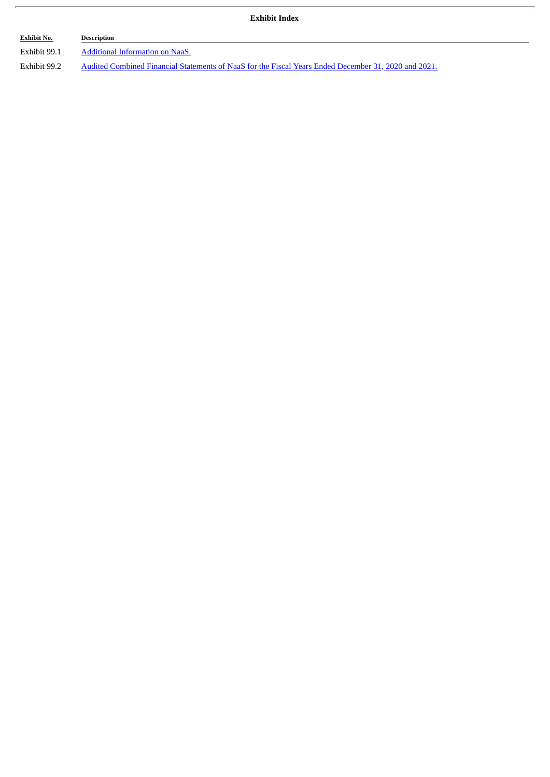| Exhibit Index |  |
|---------------|--|
|---------------|--|

| <b>Exhibit No.</b> | Description                                                                                          |
|--------------------|------------------------------------------------------------------------------------------------------|
| Exhibit 99.1       | Additional Information on NaaS.                                                                      |
| Exhibit 99.2       | Audited Combined Financial Statements of NaaS for the Fiscal Years Ended December 31, 2020 and 2021. |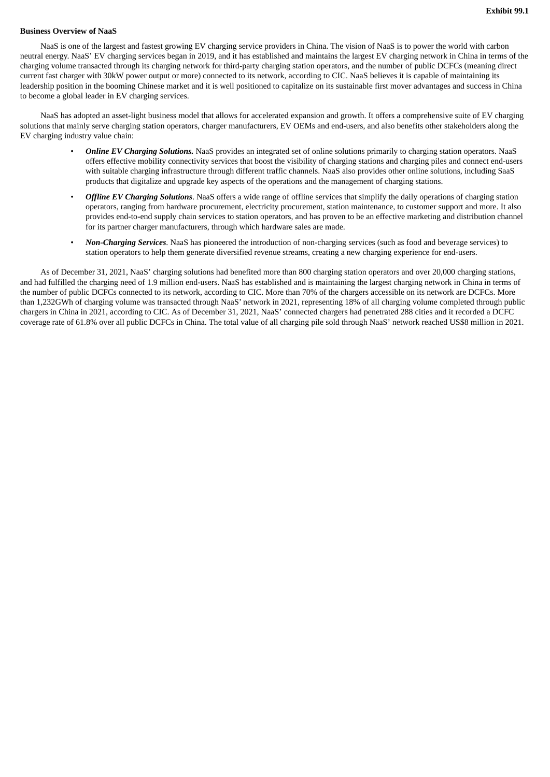#### <span id="page-4-0"></span>**Business Overview of NaaS**

NaaS is one of the largest and fastest growing EV charging service providers in China. The vision of NaaS is to power the world with carbon neutral energy. NaaS' EV charging services began in 2019, and it has established and maintains the largest EV charging network in China in terms of the charging volume transacted through its charging network for third-party charging station operators, and the number of public DCFCs (meaning direct current fast charger with 30kW power output or more) connected to its network, according to CIC. NaaS believes it is capable of maintaining its leadership position in the booming Chinese market and it is well positioned to capitalize on its sustainable first mover advantages and success in China to become a global leader in EV charging services.

NaaS has adopted an asset-light business model that allows for accelerated expansion and growth. It offers a comprehensive suite of EV charging solutions that mainly serve charging station operators, charger manufacturers, EV OEMs and end-users, and also benefits other stakeholders along the EV charging industry value chain:

- *Online EV Charging Solutions.* NaaS provides an integrated set of online solutions primarily to charging station operators. NaaS offers effective mobility connectivity services that boost the visibility of charging stations and charging piles and connect end-users with suitable charging infrastructure through different traffic channels. NaaS also provides other online solutions, including SaaS products that digitalize and upgrade key aspects of the operations and the management of charging stations.
- *Offline EV Charging Solutions*. NaaS offers a wide range of offline services that simplify the daily operations of charging station operators, ranging from hardware procurement, electricity procurement, station maintenance, to customer support and more. It also provides end-to-end supply chain services to station operators, and has proven to be an effective marketing and distribution channel for its partner charger manufacturers, through which hardware sales are made.
- *Non-Charging Services*. NaaS has pioneered the introduction of non-charging services (such as food and beverage services) to station operators to help them generate diversified revenue streams, creating a new charging experience for end-users.

As of December 31, 2021, NaaS' charging solutions had benefited more than 800 charging station operators and over 20,000 charging stations, and had fulfilled the charging need of 1.9 million end-users. NaaS has established and is maintaining the largest charging network in China in terms of the number of public DCFCs connected to its network, according to CIC. More than 70% of the chargers accessible on its network are DCFCs. More than 1,232GWh of charging volume was transacted through NaaS' network in 2021, representing 18% of all charging volume completed through public chargers in China in 2021, according to CIC. As of December 31, 2021, NaaS' connected chargers had penetrated 288 cities and it recorded a DCFC coverage rate of 61.8% over all public DCFCs in China. The total value of all charging pile sold through NaaS' network reached US\$8 million in 2021.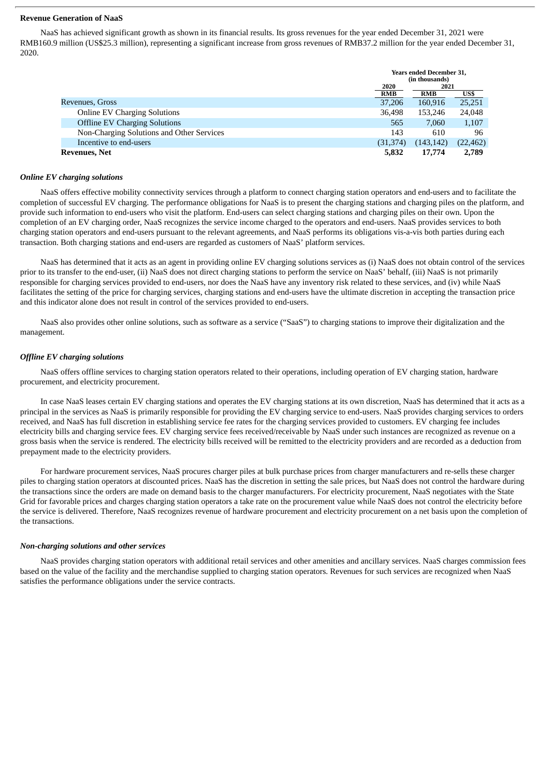#### **Revenue Generation of NaaS**

NaaS has achieved significant growth as shown in its financial results. Its gross revenues for the year ended December 31, 2021 were RMB160.9 million (US\$25.3 million), representing a significant increase from gross revenues of RMB37.2 million for the year ended December 31, 2020.

|                                           | <b>Years ended December 31,</b> |            |           |
|-------------------------------------------|---------------------------------|------------|-----------|
|                                           | (in thousands)                  |            |           |
|                                           | 2020                            | 2021       |           |
|                                           | <b>RMB</b>                      | <b>RMB</b> | US\$      |
| Revenues, Gross                           | 37,206                          | 160,916    | 25,251    |
| <b>Online EV Charging Solutions</b>       | 36.498                          | 153.246    | 24,048    |
| <b>Offline EV Charging Solutions</b>      | 565                             | 7,060      | 1,107     |
| Non-Charging Solutions and Other Services | 143                             | 610        | 96        |
| Incentive to end-users                    | (31, 374)                       | (143, 142) | (22, 462) |
| <b>Revenues, Net</b>                      | 5,832                           | 17,774     | 2,789     |

#### *Online EV charging solutions*

NaaS offers effective mobility connectivity services through a platform to connect charging station operators and end-users and to facilitate the completion of successful EV charging. The performance obligations for NaaS is to present the charging stations and charging piles on the platform, and provide such information to end-users who visit the platform. End-users can select charging stations and charging piles on their own. Upon the completion of an EV charging order, NaaS recognizes the service income charged to the operators and end-users. NaaS provides services to both charging station operators and end-users pursuant to the relevant agreements, and NaaS performs its obligations vis-a-vis both parties during each transaction. Both charging stations and end-users are regarded as customers of NaaS' platform services.

NaaS has determined that it acts as an agent in providing online EV charging solutions services as (i) NaaS does not obtain control of the services prior to its transfer to the end-user, (ii) NaaS does not direct charging stations to perform the service on NaaS' behalf, (iii) NaaS is not primarily responsible for charging services provided to end-users, nor does the NaaS have any inventory risk related to these services, and (iv) while NaaS facilitates the setting of the price for charging services, charging stations and end-users have the ultimate discretion in accepting the transaction price and this indicator alone does not result in control of the services provided to end-users.

NaaS also provides other online solutions, such as software as a service ("SaaS") to charging stations to improve their digitalization and the management.

#### *Offline EV charging solutions*

NaaS offers offline services to charging station operators related to their operations, including operation of EV charging station, hardware procurement, and electricity procurement.

In case NaaS leases certain EV charging stations and operates the EV charging stations at its own discretion, NaaS has determined that it acts as a principal in the services as NaaS is primarily responsible for providing the EV charging service to end-users. NaaS provides charging services to orders received, and NaaS has full discretion in establishing service fee rates for the charging services provided to customers. EV charging fee includes electricity bills and charging service fees. EV charging service fees received/receivable by NaaS under such instances are recognized as revenue on a gross basis when the service is rendered. The electricity bills received will be remitted to the electricity providers and are recorded as a deduction from prepayment made to the electricity providers.

For hardware procurement services, NaaS procures charger piles at bulk purchase prices from charger manufacturers and re-sells these charger piles to charging station operators at discounted prices. NaaS has the discretion in setting the sale prices, but NaaS does not control the hardware during the transactions since the orders are made on demand basis to the charger manufacturers. For electricity procurement, NaaS negotiates with the State Grid for favorable prices and charges charging station operators a take rate on the procurement value while NaaS does not control the electricity before the service is delivered. Therefore, NaaS recognizes revenue of hardware procurement and electricity procurement on a net basis upon the completion of the transactions.

#### *Non-charging solutions and other services*

NaaS provides charging station operators with additional retail services and other amenities and ancillary services. NaaS charges commission fees based on the value of the facility and the merchandise supplied to charging station operators. Revenues for such services are recognized when NaaS satisfies the performance obligations under the service contracts.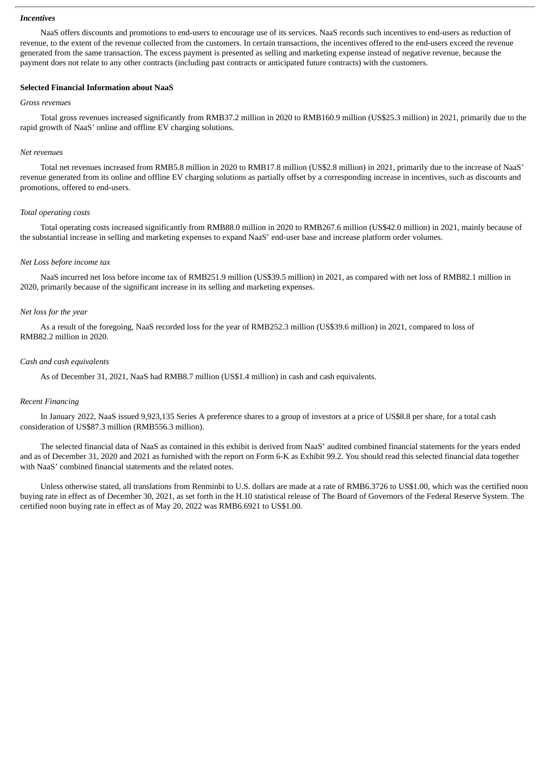#### *Incentives*

NaaS offers discounts and promotions to end-users to encourage use of its services. NaaS records such incentives to end-users as reduction of revenue, to the extent of the revenue collected from the customers. In certain transactions, the incentives offered to the end-users exceed the revenue generated from the same transaction. The excess payment is presented as selling and marketing expense instead of negative revenue, because the payment does not relate to any other contracts (including past contracts or anticipated future contracts) with the customers.

## **Selected Financial Information about NaaS**

#### *Gross revenues*

Total gross revenues increased significantly from RMB37.2 million in 2020 to RMB160.9 million (US\$25.3 million) in 2021, primarily due to the rapid growth of NaaS' online and offline EV charging solutions.

#### *Net revenues*

Total net revenues increased from RMB5.8 million in 2020 to RMB17.8 million (US\$2.8 million) in 2021, primarily due to the increase of NaaS' revenue generated from its online and offline EV charging solutions as partially offset by a corresponding increase in incentives, such as discounts and promotions, offered to end-users.

#### *Total operating costs*

Total operating costs increased significantly from RMB88.0 million in 2020 to RMB267.6 million (US\$42.0 million) in 2021, mainly because of the substantial increase in selling and marketing expenses to expand NaaS' end-user base and increase platform order volumes.

## *Net Loss before income tax*

NaaS incurred net loss before income tax of RMB251.9 million (US\$39.5 million) in 2021, as compared with net loss of RMB82.1 million in 2020, primarily because of the significant increase in its selling and marketing expenses.

#### *Net loss for the year*

As a result of the foregoing, NaaS recorded loss for the year of RMB252.3 million (US\$39.6 million) in 2021, compared to loss of RMB82.2 million in 2020.

#### *Cash and cash equivalents*

As of December 31, 2021, NaaS had RMB8.7 million (US\$1.4 million) in cash and cash equivalents.

## *Recent Financing*

In January 2022, NaaS issued 9,923,135 Series A preference shares to a group of investors at a price of US\$8.8 per share, for a total cash consideration of US\$87.3 million (RMB556.3 million).

The selected financial data of NaaS as contained in this exhibit is derived from NaaS' audited combined financial statements for the years ended and as of December 31, 2020 and 2021 as furnished with the report on Form 6-K as Exhibit 99.2. You should read this selected financial data together with NaaS' combined financial statements and the related notes.

Unless otherwise stated, all translations from Renminbi to U.S. dollars are made at a rate of RMB6.3726 to US\$1.00, which was the certified noon buying rate in effect as of December 30, 2021, as set forth in the H.10 statistical release of The Board of Governors of the Federal Reserve System. The certified noon buying rate in effect as of May 20, 2022 was RMB6.6921 to US\$1.00.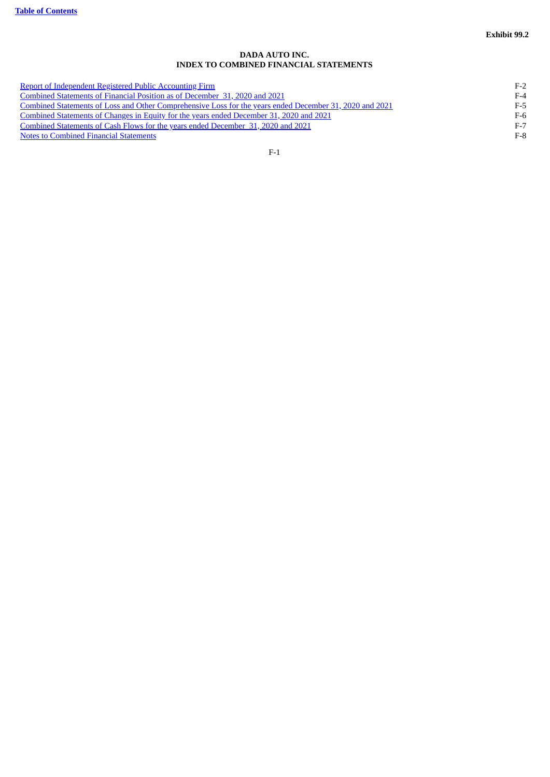## **DADA AUTO INC. INDEX TO COMBINED FINANCIAL STATEMENTS**

<span id="page-7-1"></span><span id="page-7-0"></span>

| Report of Independent Registered Public Accounting Firm                                                 | $F-2$ |
|---------------------------------------------------------------------------------------------------------|-------|
| Combined Statements of Financial Position as of December 31, 2020 and 2021                              | $F-4$ |
| Combined Statements of Loss and Other Comprehensive Loss for the years ended December 31, 2020 and 2021 | F-5   |
| Combined Statements of Changes in Equity for the years ended December 31, 2020 and 2021                 | $F-6$ |
| Combined Statements of Cash Flows for the years ended December 31, 2020 and 2021                        | $F-7$ |
| <b>Notes to Combined Financial Statements</b>                                                           | $F-8$ |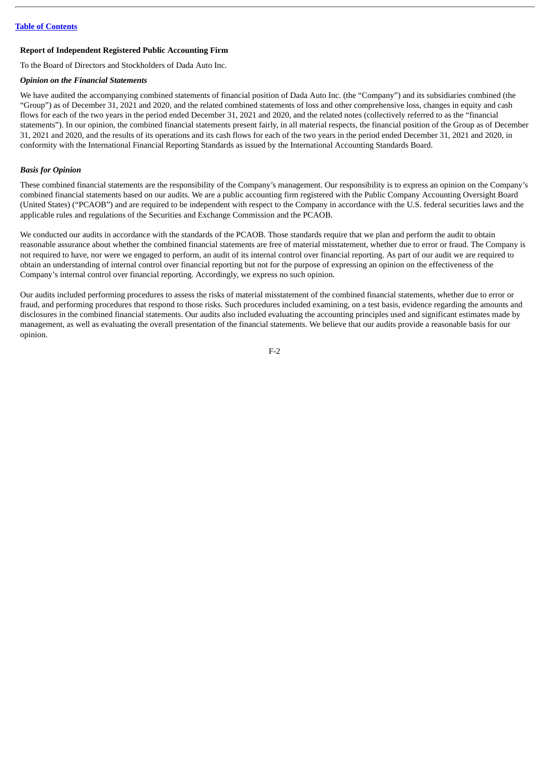#### <span id="page-8-0"></span>**Report of Independent Registered Public Accounting Firm**

To the Board of Directors and Stockholders of Dada Auto Inc.

#### *Opinion on the Financial Statements*

We have audited the accompanying combined statements of financial position of Dada Auto Inc. (the "Company") and its subsidiaries combined (the "Group") as of December 31, 2021 and 2020, and the related combined statements of loss and other comprehensive loss, changes in equity and cash flows for each of the two years in the period ended December 31, 2021 and 2020, and the related notes (collectively referred to as the "financial statements"). In our opinion, the combined financial statements present fairly, in all material respects, the financial position of the Group as of December 31, 2021 and 2020, and the results of its operations and its cash flows for each of the two years in the period ended December 31, 2021 and 2020, in conformity with the International Financial Reporting Standards as issued by the International Accounting Standards Board.

#### *Basis for Opinion*

These combined financial statements are the responsibility of the Company's management. Our responsibility is to express an opinion on the Company's combined financial statements based on our audits. We are a public accounting firm registered with the Public Company Accounting Oversight Board (United States) ("PCAOB") and are required to be independent with respect to the Company in accordance with the U.S. federal securities laws and the applicable rules and regulations of the Securities and Exchange Commission and the PCAOB.

We conducted our audits in accordance with the standards of the PCAOB. Those standards require that we plan and perform the audit to obtain reasonable assurance about whether the combined financial statements are free of material misstatement, whether due to error or fraud. The Company is not required to have, nor were we engaged to perform, an audit of its internal control over financial reporting. As part of our audit we are required to obtain an understanding of internal control over financial reporting but not for the purpose of expressing an opinion on the effectiveness of the Company's internal control over financial reporting. Accordingly, we express no such opinion.

Our audits included performing procedures to assess the risks of material misstatement of the combined financial statements, whether due to error or fraud, and performing procedures that respond to those risks. Such procedures included examining, on a test basis, evidence regarding the amounts and disclosures in the combined financial statements. Our audits also included evaluating the accounting principles used and significant estimates made by management, as well as evaluating the overall presentation of the financial statements. We believe that our audits provide a reasonable basis for our opinion.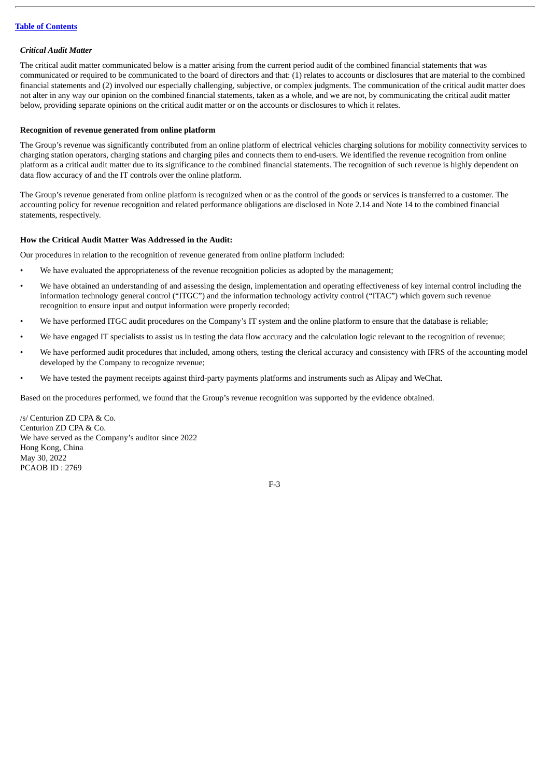## *Critical Audit Matter*

The critical audit matter communicated below is a matter arising from the current period audit of the combined financial statements that was communicated or required to be communicated to the board of directors and that: (1) relates to accounts or disclosures that are material to the combined financial statements and (2) involved our especially challenging, subjective, or complex judgments. The communication of the critical audit matter does not alter in any way our opinion on the combined financial statements, taken as a whole, and we are not, by communicating the critical audit matter below, providing separate opinions on the critical audit matter or on the accounts or disclosures to which it relates.

## **Recognition of revenue generated from online platform**

The Group's revenue was significantly contributed from an online platform of electrical vehicles charging solutions for mobility connectivity services to charging station operators, charging stations and charging piles and connects them to end-users. We identified the revenue recognition from online platform as a critical audit matter due to its significance to the combined financial statements. The recognition of such revenue is highly dependent on data flow accuracy of and the IT controls over the online platform.

The Group's revenue generated from online platform is recognized when or as the control of the goods or services is transferred to a customer. The accounting policy for revenue recognition and related performance obligations are disclosed in Note 2.14 and Note 14 to the combined financial statements, respectively.

## **How the Critical Audit Matter Was Addressed in the Audit:**

Our procedures in relation to the recognition of revenue generated from online platform included:

- We have evaluated the appropriateness of the revenue recognition policies as adopted by the management;
- We have obtained an understanding of and assessing the design, implementation and operating effectiveness of key internal control including the information technology general control ("ITGC") and the information technology activity control ("ITAC") which govern such revenue recognition to ensure input and output information were properly recorded;
- We have performed ITGC audit procedures on the Company's IT system and the online platform to ensure that the database is reliable;
- We have engaged IT specialists to assist us in testing the data flow accuracy and the calculation logic relevant to the recognition of revenue;
- We have performed audit procedures that included, among others, testing the clerical accuracy and consistency with IFRS of the accounting model developed by the Company to recognize revenue;
- We have tested the payment receipts against third-party payments platforms and instruments such as Alipay and WeChat.

Based on the procedures performed, we found that the Group's revenue recognition was supported by the evidence obtained.

/s/ Centurion ZD CPA & Co. Centurion ZD CPA & Co. We have served as the Company's auditor since 2022 Hong Kong, China May 30, 2022 PCAOB ID : 2769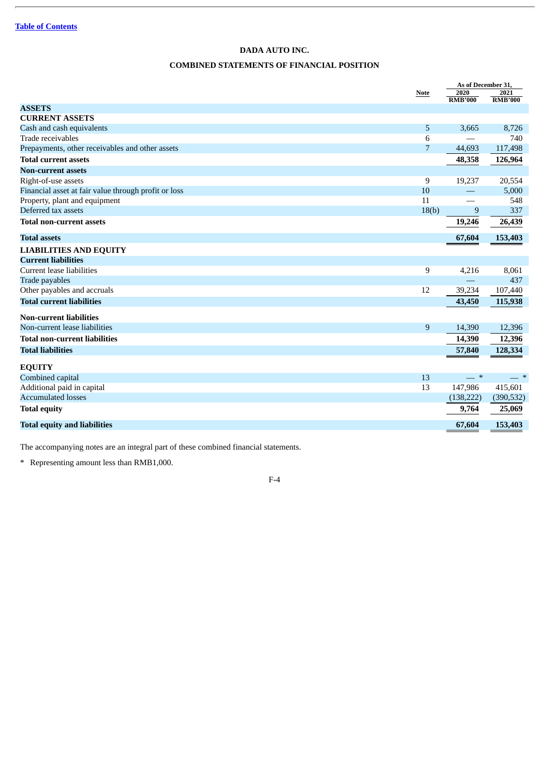## **COMBINED STATEMENTS OF FINANCIAL POSITION**

<span id="page-10-0"></span>

|                                                      |                | As of December 31,     |                        |
|------------------------------------------------------|----------------|------------------------|------------------------|
|                                                      | Note           | 2020<br><b>RMB'000</b> | 2021<br><b>RMB'000</b> |
| <b>ASSETS</b>                                        |                |                        |                        |
| <b>CURRENT ASSETS</b>                                |                |                        |                        |
| Cash and cash equivalents                            | 5              | 3,665                  | 8,726                  |
| Trade receivables                                    | 6              |                        | 740                    |
| Prepayments, other receivables and other assets      | $\overline{7}$ | 44,693                 | 117,498                |
| <b>Total current assets</b>                          |                | 48,358                 | 126,964                |
| <b>Non-current assets</b>                            |                |                        |                        |
| Right-of-use assets                                  | 9              | 19,237                 | 20,554                 |
| Financial asset at fair value through profit or loss | 10             |                        | 5,000                  |
| Property, plant and equipment                        | 11             |                        | 548                    |
| Deferred tax assets                                  | 18(b)          | 9                      | 337                    |
| <b>Total non-current assets</b>                      |                | 19,246                 | 26,439                 |
| <b>Total assets</b>                                  |                | 67,604                 | 153,403                |
| <b>LIABILITIES AND EQUITY</b>                        |                |                        |                        |
| <b>Current liabilities</b>                           |                |                        |                        |
| Current lease liabilities                            | 9              | 4,216                  | 8,061                  |
| Trade payables                                       |                |                        | 437                    |
| Other payables and accruals                          | 12             | 39,234                 | 107,440                |
| <b>Total current liabilities</b>                     |                | 43,450                 | 115,938                |
| <b>Non-current liabilities</b>                       |                |                        |                        |
| Non-current lease liabilities                        | 9              | 14,390                 | 12,396                 |
| <b>Total non-current liabilities</b>                 |                | 14,390                 | 12,396                 |
| <b>Total liabilities</b>                             |                | 57,840                 | 128,334                |
| <b>EQUITY</b>                                        |                |                        |                        |
| Combined capital                                     | 13             | $-$ *                  | $-$ *                  |
| Additional paid in capital                           | 13             | 147,986                | 415,601                |
| <b>Accumulated losses</b>                            |                | (138, 222)             | (390, 532)             |
| <b>Total equity</b>                                  |                | 9,764                  | 25,069                 |
| <b>Total equity and liabilities</b>                  |                | 67,604                 | 153,403                |

The accompanying notes are an integral part of these combined financial statements.

\* Representing amount less than RMB1,000.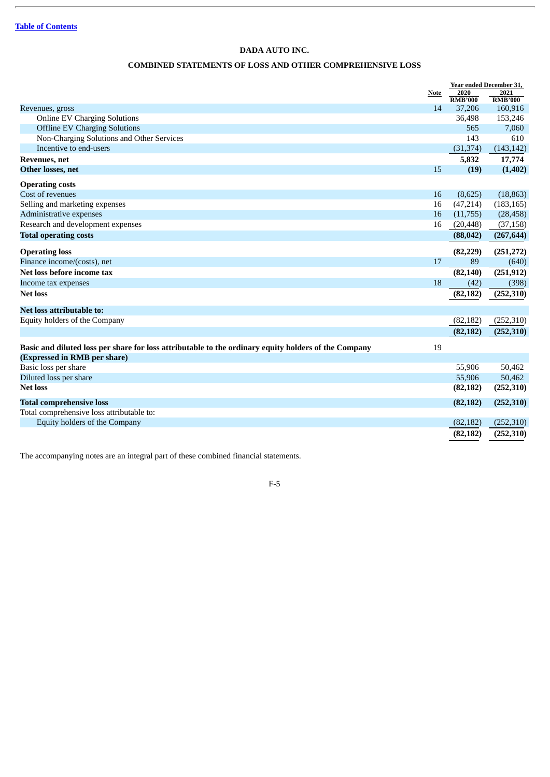# **COMBINED STATEMENTS OF LOSS AND OTHER COMPREHENSIVE LOSS**

<span id="page-11-0"></span>

|                                                                                                      |      | Year ended December 31, |                        |
|------------------------------------------------------------------------------------------------------|------|-------------------------|------------------------|
|                                                                                                      | Note | 2020<br><b>RMB'000</b>  | 2021<br><b>RMB'000</b> |
| Revenues, gross                                                                                      | 14   | 37,206                  | 160,916                |
| <b>Online EV Charging Solutions</b>                                                                  |      | 36,498                  | 153,246                |
| <b>Offline EV Charging Solutions</b>                                                                 |      | 565                     | 7,060                  |
| Non-Charging Solutions and Other Services                                                            |      | 143                     | 610                    |
| Incentive to end-users                                                                               |      | (31, 374)               | (143, 142)             |
| <b>Revenues</b> , net                                                                                |      | 5,832                   | 17,774                 |
| Other losses, net                                                                                    | 15   | (19)                    | (1, 402)               |
| <b>Operating costs</b>                                                                               |      |                         |                        |
| Cost of revenues                                                                                     | 16   | (8,625)                 | (18, 863)              |
| Selling and marketing expenses                                                                       | 16   | (47,214)                | (183, 165)             |
| Administrative expenses                                                                              | 16   | (11,755)                | (28, 458)              |
| Research and development expenses                                                                    | 16   | (20, 448)               | (37, 158)              |
| <b>Total operating costs</b>                                                                         |      | (88, 042)               | (267, 644)             |
| <b>Operating loss</b>                                                                                |      | (82, 229)               | (251, 272)             |
| Finance income/(costs), net                                                                          | 17   | 89                      | (640)                  |
| Net loss before income tax                                                                           |      | (82, 140)               | (251, 912)             |
| Income tax expenses                                                                                  | 18   | (42)                    | (398)                  |
| <b>Net loss</b>                                                                                      |      | (82, 182)               | (252, 310)             |
| Net loss attributable to:                                                                            |      |                         |                        |
| Equity holders of the Company                                                                        |      | (82, 182)               | (252, 310)             |
|                                                                                                      |      | (82, 182)               | (252, 310)             |
| Basic and diluted loss per share for loss attributable to the ordinary equity holders of the Company | 19   |                         |                        |
| (Expressed in RMB per share)                                                                         |      |                         |                        |
| Basic loss per share                                                                                 |      | 55,906                  | 50,462                 |
| Diluted loss per share                                                                               |      | 55,906                  | 50,462                 |
| <b>Net loss</b>                                                                                      |      | (82, 182)               | (252, 310)             |
| <b>Total comprehensive loss</b>                                                                      |      | (82, 182)               | (252, 310)             |
| Total comprehensive loss attributable to:                                                            |      |                         |                        |
| Equity holders of the Company                                                                        |      | (82, 182)               | (252, 310)             |
|                                                                                                      |      | (82, 182)               | (252, 310)             |

The accompanying notes are an integral part of these combined financial statements.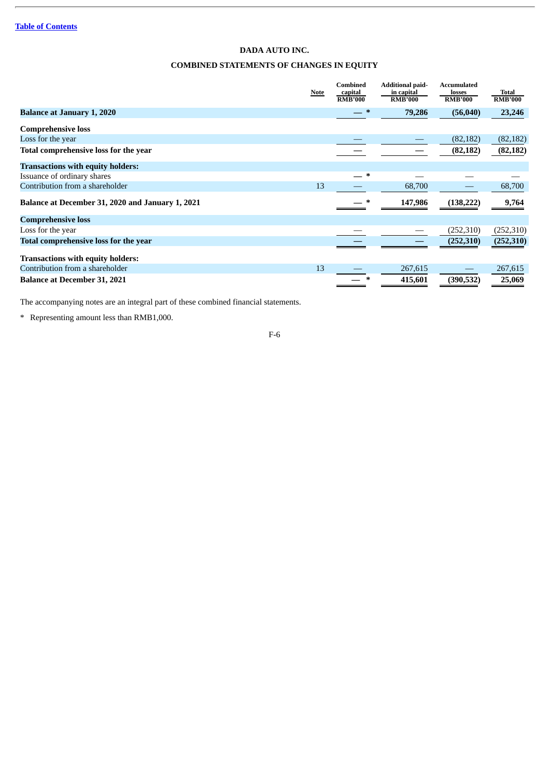# **DADA AUTO INC. COMBINED STATEMENTS OF CHANGES IN EQUITY**

<span id="page-12-0"></span>

|                                                  | Note | Combined<br>capital<br><b>RMB'000</b> | <b>Additional paid-</b><br>in capital<br><b>RMB'000</b> | <b>Accumulated</b><br>losses<br><b>RMB'000</b> | Total<br><b>RMB'000</b> |
|--------------------------------------------------|------|---------------------------------------|---------------------------------------------------------|------------------------------------------------|-------------------------|
| <b>Balance at January 1, 2020</b>                |      | $-$ *                                 | 79,286                                                  | (56,040)                                       | 23,246                  |
| <b>Comprehensive loss</b>                        |      |                                       |                                                         |                                                |                         |
| Loss for the year                                |      |                                       |                                                         | (82, 182)                                      | (82, 182)               |
| Total comprehensive loss for the year            |      |                                       |                                                         | (82, 182)                                      | (82, 182)               |
| <b>Transactions with equity holders:</b>         |      |                                       |                                                         |                                                |                         |
| Issuance of ordinary shares                      |      | $\ast$                                |                                                         |                                                |                         |
| Contribution from a shareholder                  | 13   |                                       | 68,700                                                  |                                                | 68,700                  |
| Balance at December 31, 2020 and January 1, 2021 |      |                                       | 147,986                                                 | (138, 222)                                     | 9,764                   |
| <b>Comprehensive loss</b>                        |      |                                       |                                                         |                                                |                         |
| Loss for the year                                |      |                                       |                                                         | (252, 310)                                     | (252, 310)              |
| Total comprehensive loss for the year            |      |                                       |                                                         | (252, 310)                                     | (252, 310)              |
| <b>Transactions with equity holders:</b>         |      |                                       |                                                         |                                                |                         |
| Contribution from a shareholder                  | 13   |                                       | 267,615                                                 |                                                | 267,615                 |
| <b>Balance at December 31, 2021</b>              |      | ∗                                     | 415,601                                                 | (390, 532)                                     | 25,069                  |

The accompanying notes are an integral part of these combined financial statements.

\* Representing amount less than RMB1,000.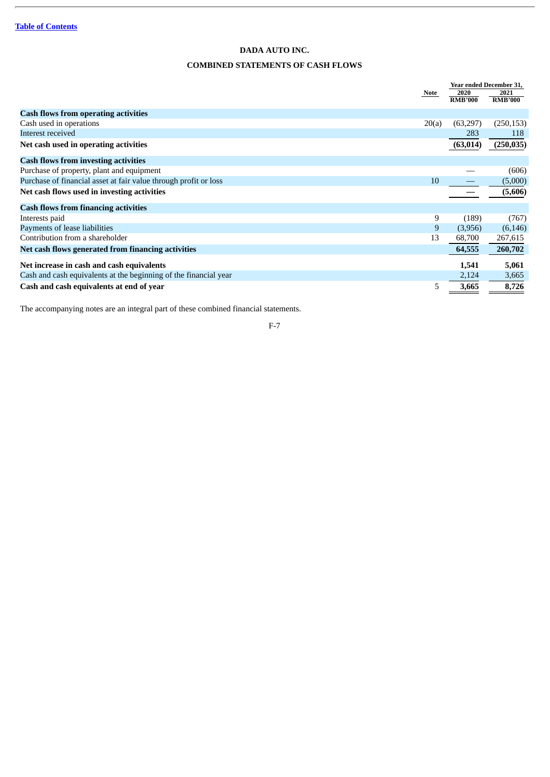# **COMBINED STATEMENTS OF CASH FLOWS**

<span id="page-13-0"></span>

|                                                                  |       | Year ended December 31, |                        |
|------------------------------------------------------------------|-------|-------------------------|------------------------|
|                                                                  | Note  | 2020<br><b>RMB'000</b>  | 2021<br><b>RMB'000</b> |
|                                                                  |       |                         |                        |
| <b>Cash flows from operating activities</b>                      |       |                         |                        |
| Cash used in operations                                          | 20(a) | (63,297)                | (250, 153)             |
| Interest received                                                |       | 283                     | 118                    |
| Net cash used in operating activities                            |       | (63, 014)               | (250, 035)             |
| <b>Cash flows from investing activities</b>                      |       |                         |                        |
| Purchase of property, plant and equipment                        |       |                         | (606)                  |
| Purchase of financial asset at fair value through profit or loss | 10    |                         | (5,000)                |
| Net cash flows used in investing activities                      |       |                         | (5,606)                |
| <b>Cash flows from financing activities</b>                      |       |                         |                        |
| Interests paid                                                   | 9     | (189)                   | (767)                  |
| Payments of lease liabilities                                    | 9     | (3,956)                 | (6, 146)               |
| Contribution from a shareholder                                  | 13    | 68,700                  | 267,615                |
| Net cash flows generated from financing activities               |       | 64,555                  | 260,702                |
| Net increase in cash and cash equivalents                        |       | 1,541                   | 5,061                  |
| Cash and cash equivalents at the beginning of the financial year |       | 2,124                   | 3,665                  |
| Cash and cash equivalents at end of year                         | 5     | 3,665                   | 8,726                  |

The accompanying notes are an integral part of these combined financial statements.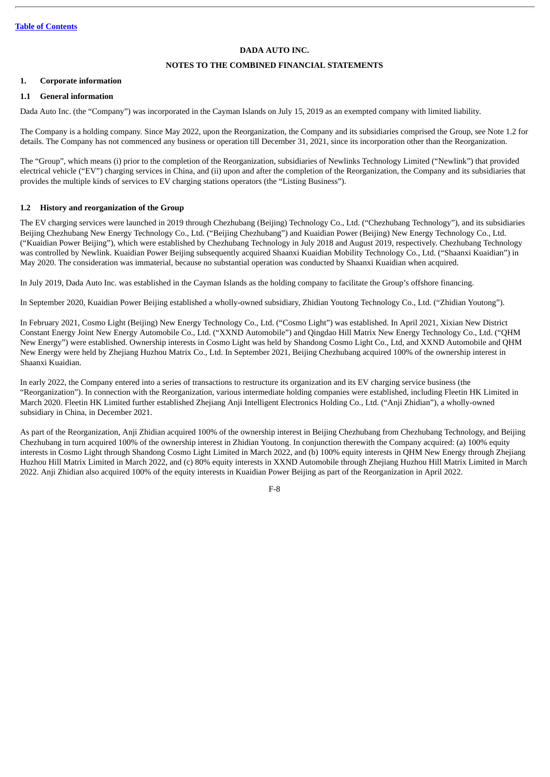## **NOTES TO THE COMBINED FINANCIAL STATEMENTS**

#### <span id="page-14-0"></span>**1. Corporate information**

## **1.1 General information**

Dada Auto Inc. (the "Company") was incorporated in the Cayman Islands on July 15, 2019 as an exempted company with limited liability.

The Company is a holding company. Since May 2022, upon the Reorganization, the Company and its subsidiaries comprised the Group, see Note 1.2 for details. The Company has not commenced any business or operation till December 31, 2021, since its incorporation other than the Reorganization.

The "Group", which means (i) prior to the completion of the Reorganization, subsidiaries of Newlinks Technology Limited ("Newlink") that provided electrical vehicle ("EV") charging services in China, and (ii) upon and after the completion of the Reorganization, the Company and its subsidiaries that provides the multiple kinds of services to EV charging stations operators (the "Listing Business").

## **1.2 History and reorganization of the Group**

The EV charging services were launched in 2019 through Chezhubang (Beijing) Technology Co., Ltd. ("Chezhubang Technology"), and its subsidiaries Beijing Chezhubang New Energy Technology Co., Ltd. ("Beijing Chezhubang") and Kuaidian Power (Beijing) New Energy Technology Co., Ltd. ("Kuaidian Power Beijing"), which were established by Chezhubang Technology in July 2018 and August 2019, respectively. Chezhubang Technology was controlled by Newlink. Kuaidian Power Beijing subsequently acquired Shaanxi Kuaidian Mobility Technology Co., Ltd. ("Shaanxi Kuaidian") in May 2020. The consideration was immaterial, because no substantial operation was conducted by Shaanxi Kuaidian when acquired.

In July 2019, Dada Auto Inc. was established in the Cayman Islands as the holding company to facilitate the Group's offshore financing.

In September 2020, Kuaidian Power Beijing established a wholly-owned subsidiary, Zhidian Youtong Technology Co., Ltd. ("Zhidian Youtong").

In February 2021, Cosmo Light (Beijing) New Energy Technology Co., Ltd. ("Cosmo Light") was established. In April 2021, Xixian New District Constant Energy Joint New Energy Automobile Co., Ltd. ("XXND Automobile") and Qingdao Hill Matrix New Energy Technology Co., Ltd. ("QHM New Energy") were established. Ownership interests in Cosmo Light was held by Shandong Cosmo Light Co., Ltd, and XXND Automobile and QHM New Energy were held by Zhejiang Huzhou Matrix Co., Ltd. In September 2021, Beijing Chezhubang acquired 100% of the ownership interest in Shaanxi Kuaidian.

In early 2022, the Company entered into a series of transactions to restructure its organization and its EV charging service business (the "Reorganization"). In connection with the Reorganization, various intermediate holding companies were established, including Fleetin HK Limited in March 2020. Fleetin HK Limited further established Zhejiang Anji Intelligent Electronics Holding Co., Ltd. ("Anji Zhidian"), a wholly-owned subsidiary in China, in December 2021.

As part of the Reorganization, Anji Zhidian acquired 100% of the ownership interest in Beijing Chezhubang from Chezhubang Technology, and Beijing Chezhubang in turn acquired 100% of the ownership interest in Zhidian Youtong. In conjunction therewith the Company acquired: (a) 100% equity interests in Cosmo Light through Shandong Cosmo Light Limited in March 2022, and (b) 100% equity interests in QHM New Energy through Zhejiang Huzhou Hill Matrix Limited in March 2022, and (c) 80% equity interests in XXND Automobile through Zhejiang Huzhou Hill Matrix Limited in March 2022. Anji Zhidian also acquired 100% of the equity interests in Kuaidian Power Beijing as part of the Reorganization in April 2022.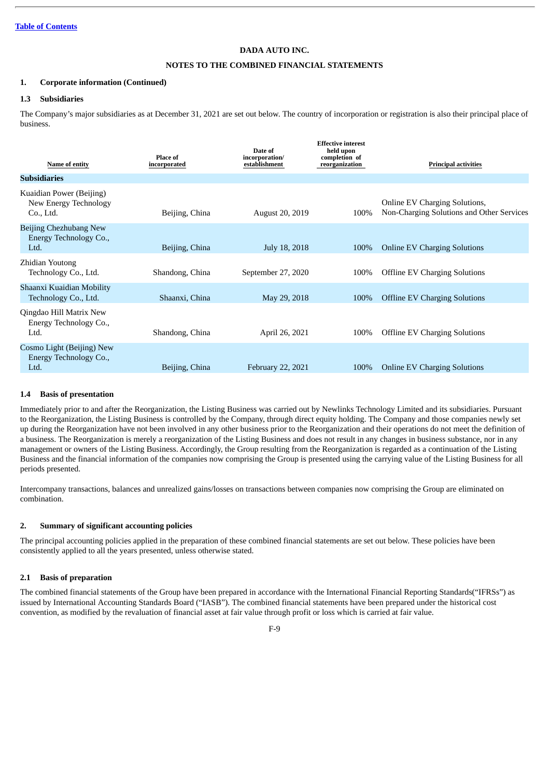## **NOTES TO THE COMBINED FINANCIAL STATEMENTS**

#### **1. Corporate information (Continued)**

## **1.3 Subsidiaries**

The Company's major subsidiaries as at December 31, 2021 are set out below. The country of incorporation or registration is also their principal place of business.

| Name of entity                                                 | Place of<br>incorporated | Date of<br>incorporation/<br>establishment | <b>Effective interest</b><br>held upon<br>completion of<br>reorganization | <b>Principal activities</b>                                                       |
|----------------------------------------------------------------|--------------------------|--------------------------------------------|---------------------------------------------------------------------------|-----------------------------------------------------------------------------------|
| <b>Subsidiaries</b>                                            |                          |                                            |                                                                           |                                                                                   |
| Kuaidian Power (Beijing)<br>New Energy Technology<br>Co., Ltd. | Beijing, China           | August 20, 2019                            | 100%                                                                      | <b>Online EV Charging Solutions,</b><br>Non-Charging Solutions and Other Services |
| Beijing Chezhubang New<br>Energy Technology Co.,<br>Ltd.       | Beijing, China           | July 18, 2018                              | 100%                                                                      | <b>Online EV Charging Solutions</b>                                               |
| Zhidian Youtong<br>Technology Co., Ltd.                        | Shandong, China          | September 27, 2020                         | 100%                                                                      | <b>Offline EV Charging Solutions</b>                                              |
| Shaanxi Kuaidian Mobility<br>Technology Co., Ltd.              | Shaanxi, China           | May 29, 2018                               | 100%                                                                      | <b>Offline EV Charging Solutions</b>                                              |
| Qingdao Hill Matrix New<br>Energy Technology Co.,<br>Ltd.      | Shandong, China          | April 26, 2021                             | 100%                                                                      | <b>Offline EV Charging Solutions</b>                                              |
| Cosmo Light (Beijing) New<br>Energy Technology Co.,<br>Ltd.    | Beijing, China           | February 22, 2021                          | 100%                                                                      | <b>Online EV Charging Solutions</b>                                               |

## **1.4 Basis of presentation**

Immediately prior to and after the Reorganization, the Listing Business was carried out by Newlinks Technology Limited and its subsidiaries. Pursuant to the Reorganization, the Listing Business is controlled by the Company, through direct equity holding. The Company and those companies newly set up during the Reorganization have not been involved in any other business prior to the Reorganization and their operations do not meet the definition of a business. The Reorganization is merely a reorganization of the Listing Business and does not result in any changes in business substance, nor in any management or owners of the Listing Business. Accordingly, the Group resulting from the Reorganization is regarded as a continuation of the Listing Business and the financial information of the companies now comprising the Group is presented using the carrying value of the Listing Business for all periods presented.

Intercompany transactions, balances and unrealized gains/losses on transactions between companies now comprising the Group are eliminated on combination.

#### **2. Summary of significant accounting policies**

The principal accounting policies applied in the preparation of these combined financial statements are set out below. These policies have been consistently applied to all the years presented, unless otherwise stated.

#### **2.1 Basis of preparation**

The combined financial statements of the Group have been prepared in accordance with the International Financial Reporting Standards("IFRSs") as issued by International Accounting Standards Board ("IASB"). The combined financial statements have been prepared under the historical cost convention, as modified by the revaluation of financial asset at fair value through profit or loss which is carried at fair value.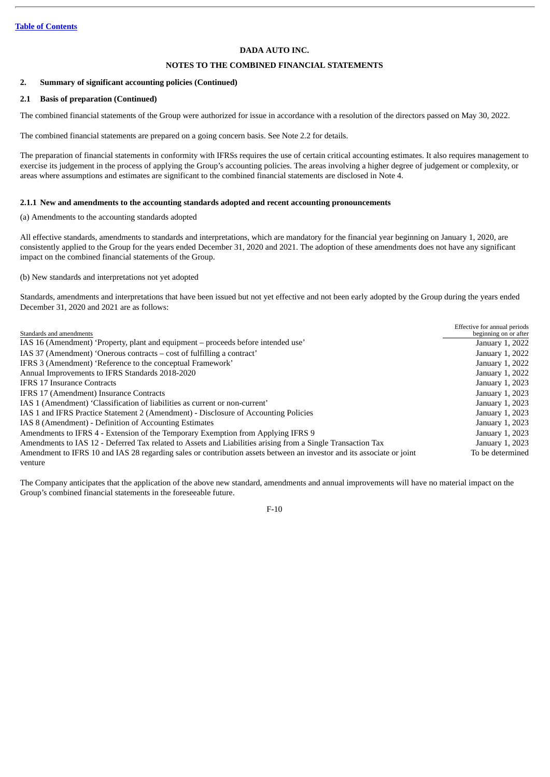## **NOTES TO THE COMBINED FINANCIAL STATEMENTS**

## **2. Summary of significant accounting policies (Continued)**

## **2.1 Basis of preparation (Continued)**

The combined financial statements of the Group were authorized for issue in accordance with a resolution of the directors passed on May 30, 2022.

The combined financial statements are prepared on a going concern basis. See Note 2.2 for details.

The preparation of financial statements in conformity with IFRSs requires the use of certain critical accounting estimates. It also requires management to exercise its judgement in the process of applying the Group's accounting policies. The areas involving a higher degree of judgement or complexity, or areas where assumptions and estimates are significant to the combined financial statements are disclosed in Note 4.

## **2.1.1 New and amendments to the accounting standards adopted and recent accounting pronouncements**

(a) Amendments to the accounting standards adopted

All effective standards, amendments to standards and interpretations, which are mandatory for the financial year beginning on January 1, 2020, are consistently applied to the Group for the years ended December 31, 2020 and 2021. The adoption of these amendments does not have any significant impact on the combined financial statements of the Group.

(b) New standards and interpretations not yet adopted

Standards, amendments and interpretations that have been issued but not yet effective and not been early adopted by the Group during the years ended December 31, 2020 and 2021 are as follows:

| Standards and amendments                                                                                              | Effective for annual periods<br>beginning on or after |
|-----------------------------------------------------------------------------------------------------------------------|-------------------------------------------------------|
| IAS 16 (Amendment) 'Property, plant and equipment – proceeds before intended use'                                     | January 1, 2022                                       |
| IAS 37 (Amendment) 'Onerous contracts – cost of fulfilling a contract'                                                | January 1, 2022                                       |
| IFRS 3 (Amendment) 'Reference to the conceptual Framework'                                                            | January 1, 2022                                       |
| Annual Improvements to IFRS Standards 2018-2020                                                                       | January 1, 2022                                       |
| <b>IFRS 17 Insurance Contracts</b>                                                                                    | January 1, 2023                                       |
| IFRS 17 (Amendment) Insurance Contracts                                                                               | January 1, 2023                                       |
| IAS 1 (Amendment) 'Classification of liabilities as current or non-current'                                           | January 1, 2023                                       |
| IAS 1 and IFRS Practice Statement 2 (Amendment) - Disclosure of Accounting Policies                                   | January 1, 2023                                       |
| IAS 8 (Amendment) - Definition of Accounting Estimates                                                                | January 1, 2023                                       |
| Amendments to IFRS 4 - Extension of the Temporary Exemption from Applying IFRS 9                                      | January 1, 2023                                       |
| Amendments to IAS 12 - Deferred Tax related to Assets and Liabilities arising from a Single Transaction Tax           | January 1, 2023                                       |
| Amendment to IFRS 10 and IAS 28 regarding sales or contribution assets between an investor and its associate or joint | To be determined                                      |
| venture                                                                                                               |                                                       |

The Company anticipates that the application of the above new standard, amendments and annual improvements will have no material impact on the Group's combined financial statements in the foreseeable future.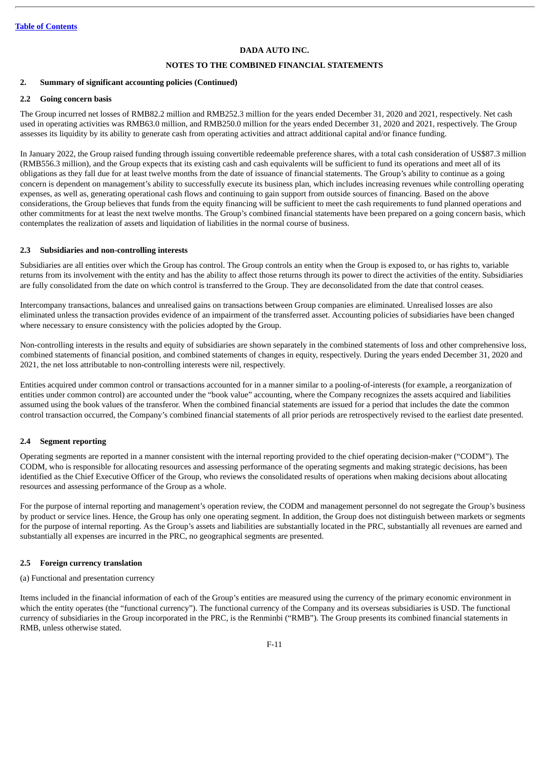## **NOTES TO THE COMBINED FINANCIAL STATEMENTS**

#### **2. Summary of significant accounting policies (Continued)**

## **2.2 Going concern basis**

The Group incurred net losses of RMB82.2 million and RMB252.3 million for the years ended December 31, 2020 and 2021, respectively. Net cash used in operating activities was RMB63.0 million, and RMB250.0 million for the years ended December 31, 2020 and 2021, respectively. The Group assesses its liquidity by its ability to generate cash from operating activities and attract additional capital and/or finance funding.

In January 2022, the Group raised funding through issuing convertible redeemable preference shares, with a total cash consideration of US\$87.3 million (RMB556.3 million), and the Group expects that its existing cash and cash equivalents will be sufficient to fund its operations and meet all of its obligations as they fall due for at least twelve months from the date of issuance of financial statements. The Group's ability to continue as a going concern is dependent on management's ability to successfully execute its business plan, which includes increasing revenues while controlling operating expenses, as well as, generating operational cash flows and continuing to gain support from outside sources of financing. Based on the above considerations, the Group believes that funds from the equity financing will be sufficient to meet the cash requirements to fund planned operations and other commitments for at least the next twelve months. The Group's combined financial statements have been prepared on a going concern basis, which contemplates the realization of assets and liquidation of liabilities in the normal course of business.

## **2.3 Subsidiaries and non-controlling interests**

Subsidiaries are all entities over which the Group has control. The Group controls an entity when the Group is exposed to, or has rights to, variable returns from its involvement with the entity and has the ability to affect those returns through its power to direct the activities of the entity. Subsidiaries are fully consolidated from the date on which control is transferred to the Group. They are deconsolidated from the date that control ceases.

Intercompany transactions, balances and unrealised gains on transactions between Group companies are eliminated. Unrealised losses are also eliminated unless the transaction provides evidence of an impairment of the transferred asset. Accounting policies of subsidiaries have been changed where necessary to ensure consistency with the policies adopted by the Group.

Non-controlling interests in the results and equity of subsidiaries are shown separately in the combined statements of loss and other comprehensive loss, combined statements of financial position, and combined statements of changes in equity, respectively. During the years ended December 31, 2020 and 2021, the net loss attributable to non-controlling interests were nil, respectively.

Entities acquired under common control or transactions accounted for in a manner similar to a pooling-of-interests (for example, a reorganization of entities under common control) are accounted under the "book value" accounting, where the Company recognizes the assets acquired and liabilities assumed using the book values of the transferor. When the combined financial statements are issued for a period that includes the date the common control transaction occurred, the Company's combined financial statements of all prior periods are retrospectively revised to the earliest date presented.

## **2.4 Segment reporting**

Operating segments are reported in a manner consistent with the internal reporting provided to the chief operating decision-maker ("CODM"). The CODM, who is responsible for allocating resources and assessing performance of the operating segments and making strategic decisions, has been identified as the Chief Executive Officer of the Group, who reviews the consolidated results of operations when making decisions about allocating resources and assessing performance of the Group as a whole.

For the purpose of internal reporting and management's operation review, the CODM and management personnel do not segregate the Group's business by product or service lines. Hence, the Group has only one operating segment. In addition, the Group does not distinguish between markets or segments for the purpose of internal reporting. As the Group's assets and liabilities are substantially located in the PRC, substantially all revenues are earned and substantially all expenses are incurred in the PRC, no geographical segments are presented.

#### **2.5 Foreign currency translation**

#### (a) Functional and presentation currency

Items included in the financial information of each of the Group's entities are measured using the currency of the primary economic environment in which the entity operates (the "functional currency"). The functional currency of the Company and its overseas subsidiaries is USD. The functional currency of subsidiaries in the Group incorporated in the PRC, is the Renminbi ("RMB"). The Group presents its combined financial statements in RMB, unless otherwise stated.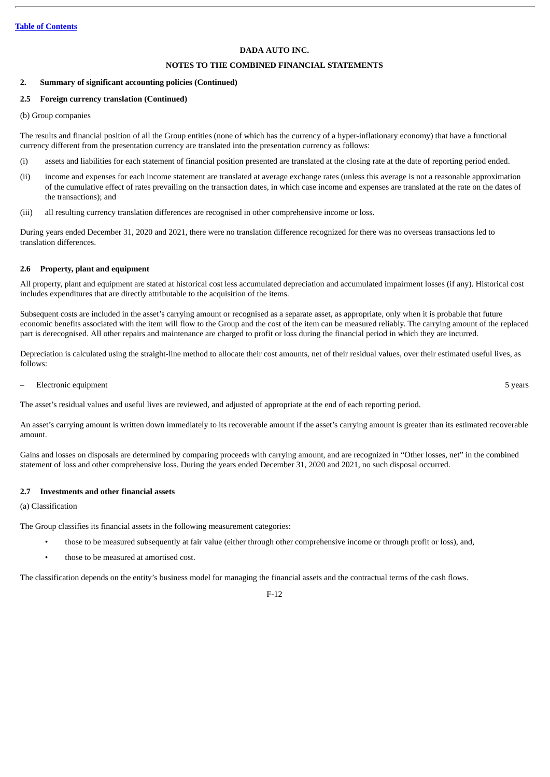## **NOTES TO THE COMBINED FINANCIAL STATEMENTS**

#### **2. Summary of significant accounting policies (Continued)**

## **2.5 Foreign currency translation (Continued)**

(b) Group companies

The results and financial position of all the Group entities (none of which has the currency of a hyper-inflationary economy) that have a functional currency different from the presentation currency are translated into the presentation currency as follows:

- (i) assets and liabilities for each statement of financial position presented are translated at the closing rate at the date of reporting period ended.
- (ii) income and expenses for each income statement are translated at average exchange rates (unless this average is not a reasonable approximation of the cumulative effect of rates prevailing on the transaction dates, in which case income and expenses are translated at the rate on the dates of the transactions); and
- (iii) all resulting currency translation differences are recognised in other comprehensive income or loss.

During years ended December 31, 2020 and 2021, there were no translation difference recognized for there was no overseas transactions led to translation differences.

## **2.6 Property, plant and equipment**

All property, plant and equipment are stated at historical cost less accumulated depreciation and accumulated impairment losses (if any). Historical cost includes expenditures that are directly attributable to the acquisition of the items.

Subsequent costs are included in the asset's carrying amount or recognised as a separate asset, as appropriate, only when it is probable that future economic benefits associated with the item will flow to the Group and the cost of the item can be measured reliably. The carrying amount of the replaced part is derecognised. All other repairs and maintenance are charged to profit or loss during the financial period in which they are incurred.

Depreciation is calculated using the straight-line method to allocate their cost amounts, net of their residual values, over their estimated useful lives, as follows:

– Electronic equipment 5 years

The asset's residual values and useful lives are reviewed, and adjusted of appropriate at the end of each reporting period.

An asset's carrying amount is written down immediately to its recoverable amount if the asset's carrying amount is greater than its estimated recoverable amount.

Gains and losses on disposals are determined by comparing proceeds with carrying amount, and are recognized in "Other losses, net" in the combined statement of loss and other comprehensive loss. During the years ended December 31, 2020 and 2021, no such disposal occurred.

#### **2.7 Investments and other financial assets**

#### (a) Classification

The Group classifies its financial assets in the following measurement categories:

- those to be measured subsequently at fair value (either through other comprehensive income or through profit or loss), and,
- those to be measured at amortised cost.

The classification depends on the entity's business model for managing the financial assets and the contractual terms of the cash flows.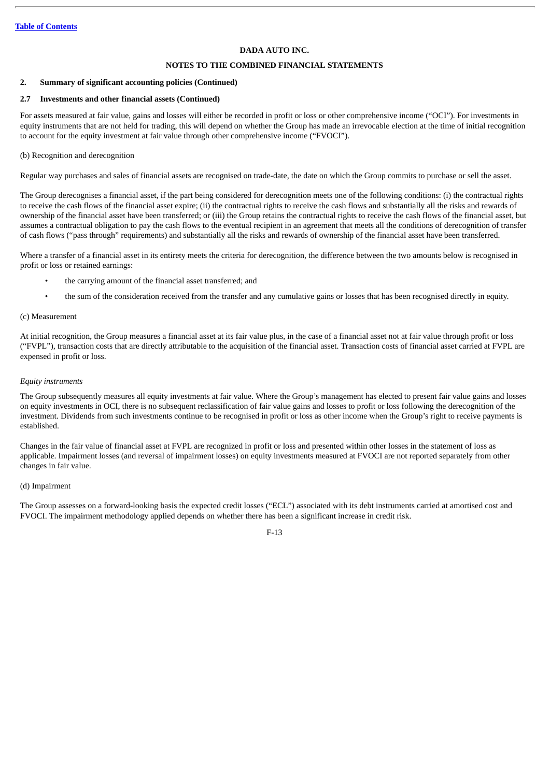## **NOTES TO THE COMBINED FINANCIAL STATEMENTS**

#### **2. Summary of significant accounting policies (Continued)**

## **2.7 Investments and other financial assets (Continued)**

For assets measured at fair value, gains and losses will either be recorded in profit or loss or other comprehensive income ("OCI"). For investments in equity instruments that are not held for trading, this will depend on whether the Group has made an irrevocable election at the time of initial recognition to account for the equity investment at fair value through other comprehensive income ("FVOCI").

## (b) Recognition and derecognition

Regular way purchases and sales of financial assets are recognised on trade-date, the date on which the Group commits to purchase or sell the asset.

The Group derecognises a financial asset, if the part being considered for derecognition meets one of the following conditions: (i) the contractual rights to receive the cash flows of the financial asset expire; (ii) the contractual rights to receive the cash flows and substantially all the risks and rewards of ownership of the financial asset have been transferred; or (iii) the Group retains the contractual rights to receive the cash flows of the financial asset, but assumes a contractual obligation to pay the cash flows to the eventual recipient in an agreement that meets all the conditions of derecognition of transfer of cash flows ("pass through" requirements) and substantially all the risks and rewards of ownership of the financial asset have been transferred.

Where a transfer of a financial asset in its entirety meets the criteria for derecognition, the difference between the two amounts below is recognised in profit or loss or retained earnings:

- the carrying amount of the financial asset transferred; and
- the sum of the consideration received from the transfer and any cumulative gains or losses that has been recognised directly in equity.

#### (c) Measurement

At initial recognition, the Group measures a financial asset at its fair value plus, in the case of a financial asset not at fair value through profit or loss ("FVPL"), transaction costs that are directly attributable to the acquisition of the financial asset. Transaction costs of financial asset carried at FVPL are expensed in profit or loss.

## *Equity instruments*

The Group subsequently measures all equity investments at fair value. Where the Group's management has elected to present fair value gains and losses on equity investments in OCI, there is no subsequent reclassification of fair value gains and losses to profit or loss following the derecognition of the investment. Dividends from such investments continue to be recognised in profit or loss as other income when the Group's right to receive payments is established.

Changes in the fair value of financial asset at FVPL are recognized in profit or loss and presented within other losses in the statement of loss as applicable. Impairment losses (and reversal of impairment losses) on equity investments measured at FVOCI are not reported separately from other changes in fair value.

#### (d) Impairment

The Group assesses on a forward-looking basis the expected credit losses ("ECL") associated with its debt instruments carried at amortised cost and FVOCI. The impairment methodology applied depends on whether there has been a significant increase in credit risk.

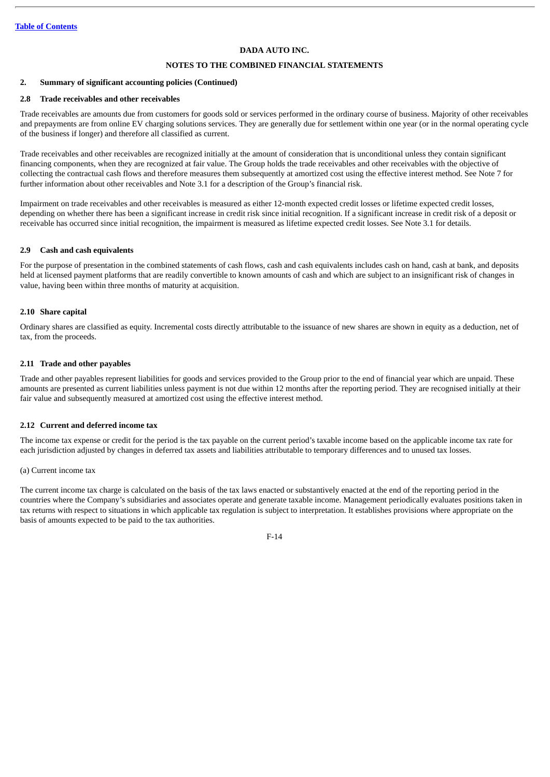## **NOTES TO THE COMBINED FINANCIAL STATEMENTS**

#### **2. Summary of significant accounting policies (Continued)**

## **2.8 Trade receivables and other receivables**

Trade receivables are amounts due from customers for goods sold or services performed in the ordinary course of business. Majority of other receivables and prepayments are from online EV charging solutions services. They are generally due for settlement within one year (or in the normal operating cycle of the business if longer) and therefore all classified as current.

Trade receivables and other receivables are recognized initially at the amount of consideration that is unconditional unless they contain significant financing components, when they are recognized at fair value. The Group holds the trade receivables and other receivables with the objective of collecting the contractual cash flows and therefore measures them subsequently at amortized cost using the effective interest method. See Note 7 for further information about other receivables and Note 3.1 for a description of the Group's financial risk.

Impairment on trade receivables and other receivables is measured as either 12-month expected credit losses or lifetime expected credit losses, depending on whether there has been a significant increase in credit risk since initial recognition. If a significant increase in credit risk of a deposit or receivable has occurred since initial recognition, the impairment is measured as lifetime expected credit losses. See Note 3.1 for details.

#### **2.9 Cash and cash equivalents**

For the purpose of presentation in the combined statements of cash flows, cash and cash equivalents includes cash on hand, cash at bank, and deposits held at licensed payment platforms that are readily convertible to known amounts of cash and which are subject to an insignificant risk of changes in value, having been within three months of maturity at acquisition.

#### **2.10 Share capital**

Ordinary shares are classified as equity. Incremental costs directly attributable to the issuance of new shares are shown in equity as a deduction, net of tax, from the proceeds.

#### **2.11 Trade and other payables**

Trade and other payables represent liabilities for goods and services provided to the Group prior to the end of financial year which are unpaid. These amounts are presented as current liabilities unless payment is not due within 12 months after the reporting period. They are recognised initially at their fair value and subsequently measured at amortized cost using the effective interest method.

#### **2.12 Current and deferred income tax**

The income tax expense or credit for the period is the tax payable on the current period's taxable income based on the applicable income tax rate for each jurisdiction adjusted by changes in deferred tax assets and liabilities attributable to temporary differences and to unused tax losses.

#### (a) Current income tax

The current income tax charge is calculated on the basis of the tax laws enacted or substantively enacted at the end of the reporting period in the countries where the Company's subsidiaries and associates operate and generate taxable income. Management periodically evaluates positions taken in tax returns with respect to situations in which applicable tax regulation is subject to interpretation. It establishes provisions where appropriate on the basis of amounts expected to be paid to the tax authorities.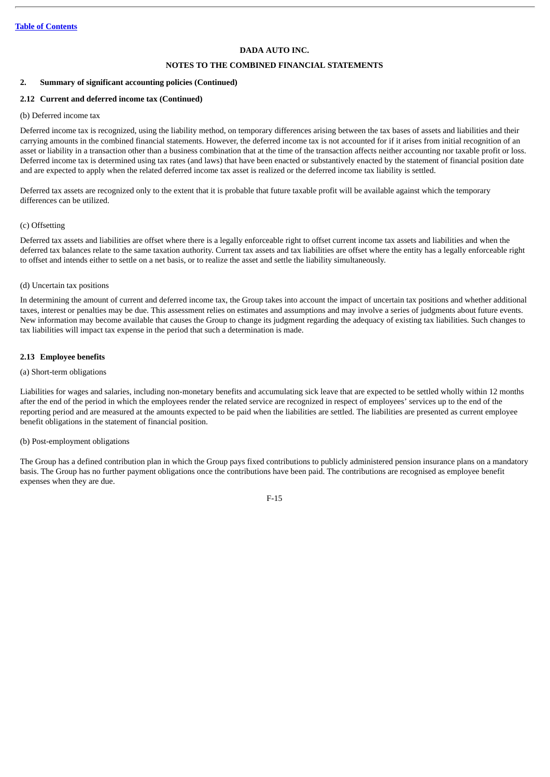## **NOTES TO THE COMBINED FINANCIAL STATEMENTS**

## **2. Summary of significant accounting policies (Continued)**

## **2.12 Current and deferred income tax (Continued)**

## (b) Deferred income tax

Deferred income tax is recognized, using the liability method, on temporary differences arising between the tax bases of assets and liabilities and their carrying amounts in the combined financial statements. However, the deferred income tax is not accounted for if it arises from initial recognition of an asset or liability in a transaction other than a business combination that at the time of the transaction affects neither accounting nor taxable profit or loss. Deferred income tax is determined using tax rates (and laws) that have been enacted or substantively enacted by the statement of financial position date and are expected to apply when the related deferred income tax asset is realized or the deferred income tax liability is settled.

Deferred tax assets are recognized only to the extent that it is probable that future taxable profit will be available against which the temporary differences can be utilized.

## (c) Offsetting

Deferred tax assets and liabilities are offset where there is a legally enforceable right to offset current income tax assets and liabilities and when the deferred tax balances relate to the same taxation authority. Current tax assets and tax liabilities are offset where the entity has a legally enforceable right to offset and intends either to settle on a net basis, or to realize the asset and settle the liability simultaneously.

## (d) Uncertain tax positions

In determining the amount of current and deferred income tax, the Group takes into account the impact of uncertain tax positions and whether additional taxes, interest or penalties may be due. This assessment relies on estimates and assumptions and may involve a series of judgments about future events. New information may become available that causes the Group to change its judgment regarding the adequacy of existing tax liabilities. Such changes to tax liabilities will impact tax expense in the period that such a determination is made.

## **2.13 Employee benefits**

#### (a) Short-term obligations

Liabilities for wages and salaries, including non-monetary benefits and accumulating sick leave that are expected to be settled wholly within 12 months after the end of the period in which the employees render the related service are recognized in respect of employees' services up to the end of the reporting period and are measured at the amounts expected to be paid when the liabilities are settled. The liabilities are presented as current employee benefit obligations in the statement of financial position.

## (b) Post-employment obligations

The Group has a defined contribution plan in which the Group pays fixed contributions to publicly administered pension insurance plans on a mandatory basis. The Group has no further payment obligations once the contributions have been paid. The contributions are recognised as employee benefit expenses when they are due.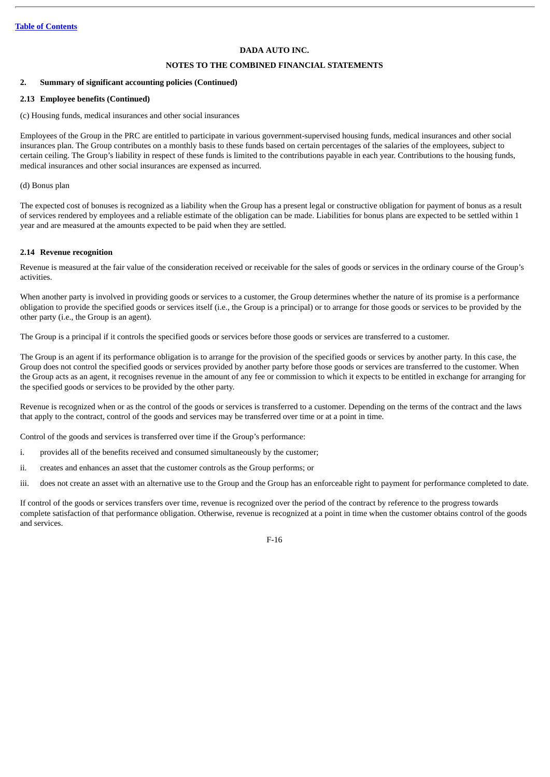## **NOTES TO THE COMBINED FINANCIAL STATEMENTS**

## **2. Summary of significant accounting policies (Continued)**

## **2.13 Employee benefits (Continued)**

(c) Housing funds, medical insurances and other social insurances

Employees of the Group in the PRC are entitled to participate in various government-supervised housing funds, medical insurances and other social insurances plan. The Group contributes on a monthly basis to these funds based on certain percentages of the salaries of the employees, subject to certain ceiling. The Group's liability in respect of these funds is limited to the contributions payable in each year. Contributions to the housing funds, medical insurances and other social insurances are expensed as incurred.

(d) Bonus plan

The expected cost of bonuses is recognized as a liability when the Group has a present legal or constructive obligation for payment of bonus as a result of services rendered by employees and a reliable estimate of the obligation can be made. Liabilities for bonus plans are expected to be settled within 1 year and are measured at the amounts expected to be paid when they are settled.

## **2.14 Revenue recognition**

Revenue is measured at the fair value of the consideration received or receivable for the sales of goods or services in the ordinary course of the Group's activities.

When another party is involved in providing goods or services to a customer, the Group determines whether the nature of its promise is a performance obligation to provide the specified goods or services itself (i.e., the Group is a principal) or to arrange for those goods or services to be provided by the other party (i.e., the Group is an agent).

The Group is a principal if it controls the specified goods or services before those goods or services are transferred to a customer.

The Group is an agent if its performance obligation is to arrange for the provision of the specified goods or services by another party. In this case, the Group does not control the specified goods or services provided by another party before those goods or services are transferred to the customer. When the Group acts as an agent, it recognises revenue in the amount of any fee or commission to which it expects to be entitled in exchange for arranging for the specified goods or services to be provided by the other party.

Revenue is recognized when or as the control of the goods or services is transferred to a customer. Depending on the terms of the contract and the laws that apply to the contract, control of the goods and services may be transferred over time or at a point in time.

Control of the goods and services is transferred over time if the Group's performance:

- i. provides all of the benefits received and consumed simultaneously by the customer;
- ii. creates and enhances an asset that the customer controls as the Group performs; or

iii. does not create an asset with an alternative use to the Group and the Group has an enforceable right to payment for performance completed to date.

If control of the goods or services transfers over time, revenue is recognized over the period of the contract by reference to the progress towards complete satisfaction of that performance obligation. Otherwise, revenue is recognized at a point in time when the customer obtains control of the goods and services.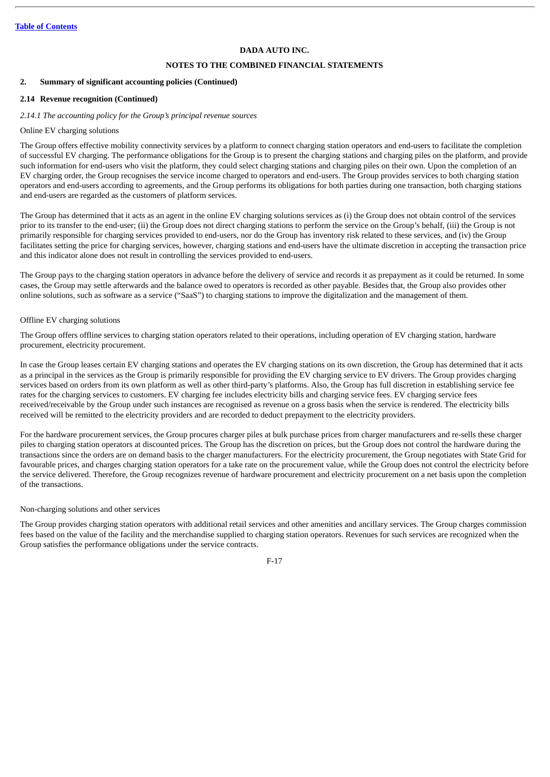## **NOTES TO THE COMBINED FINANCIAL STATEMENTS**

#### **2. Summary of significant accounting policies (Continued)**

## **2.14 Revenue recognition (Continued)**

#### *2.14.1 The accounting policy for the Group's principal revenue sources*

#### Online EV charging solutions

The Group offers effective mobility connectivity services by a platform to connect charging station operators and end-users to facilitate the completion of successful EV charging. The performance obligations for the Group is to present the charging stations and charging piles on the platform, and provide such information for end-users who visit the platform, they could select charging stations and charging piles on their own. Upon the completion of an EV charging order, the Group recognises the service income charged to operators and end-users. The Group provides services to both charging station operators and end-users according to agreements, and the Group performs its obligations for both parties during one transaction, both charging stations and end-users are regarded as the customers of platform services.

The Group has determined that it acts as an agent in the online EV charging solutions services as (i) the Group does not obtain control of the services prior to its transfer to the end-user; (ii) the Group does not direct charging stations to perform the service on the Group's behalf, (iii) the Group is not primarily responsible for charging services provided to end-users, nor do the Group has inventory risk related to these services, and (iv) the Group facilitates setting the price for charging services, however, charging stations and end-users have the ultimate discretion in accepting the transaction price and this indicator alone does not result in controlling the services provided to end-users.

The Group pays to the charging station operators in advance before the delivery of service and records it as prepayment as it could be returned. In some cases, the Group may settle afterwards and the balance owed to operators is recorded as other payable. Besides that, the Group also provides other online solutions, such as software as a service ("SaaS") to charging stations to improve the digitalization and the management of them.

#### Offline EV charging solutions

The Group offers offline services to charging station operators related to their operations, including operation of EV charging station, hardware procurement, electricity procurement.

In case the Group leases certain EV charging stations and operates the EV charging stations on its own discretion, the Group has determined that it acts as a principal in the services as the Group is primarily responsible for providing the EV charging service to EV drivers. The Group provides charging services based on orders from its own platform as well as other third-party's platforms. Also, the Group has full discretion in establishing service fee rates for the charging services to customers. EV charging fee includes electricity bills and charging service fees. EV charging service fees received/receivable by the Group under such instances are recognised as revenue on a gross basis when the service is rendered. The electricity bills received will be remitted to the electricity providers and are recorded to deduct prepayment to the electricity providers.

For the hardware procurement services, the Group procures charger piles at bulk purchase prices from charger manufacturers and re-sells these charger piles to charging station operators at discounted prices. The Group has the discretion on prices, but the Group does not control the hardware during the transactions since the orders are on demand basis to the charger manufacturers. For the electricity procurement, the Group negotiates with State Grid for favourable prices, and charges charging station operators for a take rate on the procurement value, while the Group does not control the electricity before the service delivered. Therefore, the Group recognizes revenue of hardware procurement and electricity procurement on a net basis upon the completion of the transactions.

#### Non-charging solutions and other services

The Group provides charging station operators with additional retail services and other amenities and ancillary services. The Group charges commission fees based on the value of the facility and the merchandise supplied to charging station operators. Revenues for such services are recognized when the Group satisfies the performance obligations under the service contracts.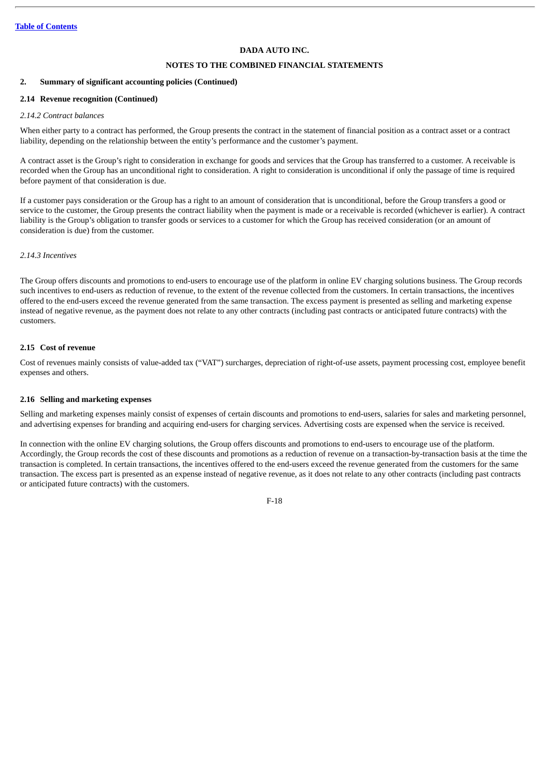## **NOTES TO THE COMBINED FINANCIAL STATEMENTS**

## **2. Summary of significant accounting policies (Continued)**

## **2.14 Revenue recognition (Continued)**

#### *2.14.2 Contract balances*

When either party to a contract has performed, the Group presents the contract in the statement of financial position as a contract asset or a contract liability, depending on the relationship between the entity's performance and the customer's payment.

A contract asset is the Group's right to consideration in exchange for goods and services that the Group has transferred to a customer. A receivable is recorded when the Group has an unconditional right to consideration. A right to consideration is unconditional if only the passage of time is required before payment of that consideration is due.

If a customer pays consideration or the Group has a right to an amount of consideration that is unconditional, before the Group transfers a good or service to the customer, the Group presents the contract liability when the payment is made or a receivable is recorded (whichever is earlier). A contract liability is the Group's obligation to transfer goods or services to a customer for which the Group has received consideration (or an amount of consideration is due) from the customer.

## *2.14.3 Incentives*

The Group offers discounts and promotions to end-users to encourage use of the platform in online EV charging solutions business. The Group records such incentives to end-users as reduction of revenue, to the extent of the revenue collected from the customers. In certain transactions, the incentives offered to the end-users exceed the revenue generated from the same transaction. The excess payment is presented as selling and marketing expense instead of negative revenue, as the payment does not relate to any other contracts (including past contracts or anticipated future contracts) with the customers.

## **2.15 Cost of revenue**

Cost of revenues mainly consists of value-added tax ("VAT") surcharges, depreciation of right-of-use assets, payment processing cost, employee benefit expenses and others.

## **2.16 Selling and marketing expenses**

Selling and marketing expenses mainly consist of expenses of certain discounts and promotions to end-users, salaries for sales and marketing personnel, and advertising expenses for branding and acquiring end-users for charging services. Advertising costs are expensed when the service is received.

In connection with the online EV charging solutions, the Group offers discounts and promotions to end-users to encourage use of the platform. Accordingly, the Group records the cost of these discounts and promotions as a reduction of revenue on a transaction-by-transaction basis at the time the transaction is completed. In certain transactions, the incentives offered to the end-users exceed the revenue generated from the customers for the same transaction. The excess part is presented as an expense instead of negative revenue, as it does not relate to any other contracts (including past contracts or anticipated future contracts) with the customers.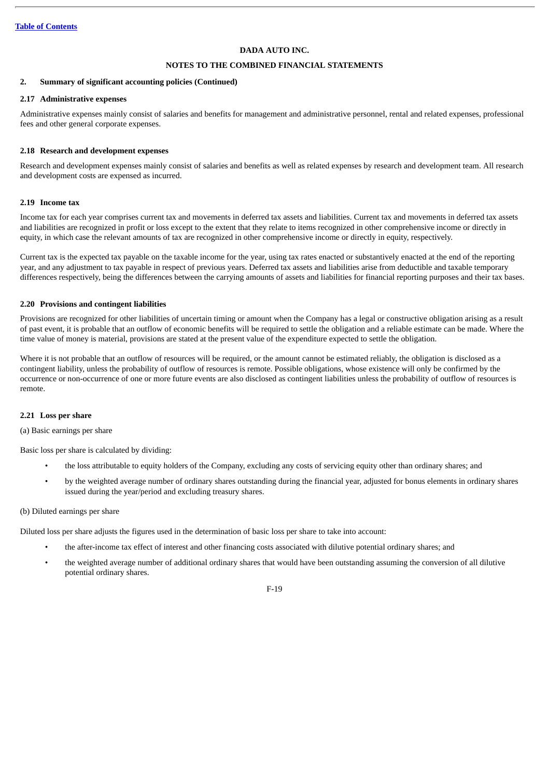## **NOTES TO THE COMBINED FINANCIAL STATEMENTS**

#### **2. Summary of significant accounting policies (Continued)**

## **2.17 Administrative expenses**

Administrative expenses mainly consist of salaries and benefits for management and administrative personnel, rental and related expenses, professional fees and other general corporate expenses.

#### **2.18 Research and development expenses**

Research and development expenses mainly consist of salaries and benefits as well as related expenses by research and development team. All research and development costs are expensed as incurred.

## **2.19 Income tax**

Income tax for each year comprises current tax and movements in deferred tax assets and liabilities. Current tax and movements in deferred tax assets and liabilities are recognized in profit or loss except to the extent that they relate to items recognized in other comprehensive income or directly in equity, in which case the relevant amounts of tax are recognized in other comprehensive income or directly in equity, respectively.

Current tax is the expected tax payable on the taxable income for the year, using tax rates enacted or substantively enacted at the end of the reporting year, and any adjustment to tax payable in respect of previous years. Deferred tax assets and liabilities arise from deductible and taxable temporary differences respectively, being the differences between the carrying amounts of assets and liabilities for financial reporting purposes and their tax bases.

#### **2.20 Provisions and contingent liabilities**

Provisions are recognized for other liabilities of uncertain timing or amount when the Company has a legal or constructive obligation arising as a result of past event, it is probable that an outflow of economic benefits will be required to settle the obligation and a reliable estimate can be made. Where the time value of money is material, provisions are stated at the present value of the expenditure expected to settle the obligation.

Where it is not probable that an outflow of resources will be required, or the amount cannot be estimated reliably, the obligation is disclosed as a contingent liability, unless the probability of outflow of resources is remote. Possible obligations, whose existence will only be confirmed by the occurrence or non-occurrence of one or more future events are also disclosed as contingent liabilities unless the probability of outflow of resources is remote.

#### **2.21 Loss per share**

(a) Basic earnings per share

Basic loss per share is calculated by dividing:

- the loss attributable to equity holders of the Company, excluding any costs of servicing equity other than ordinary shares; and
- by the weighted average number of ordinary shares outstanding during the financial year, adjusted for bonus elements in ordinary shares issued during the year/period and excluding treasury shares.

#### (b) Diluted earnings per share

Diluted loss per share adjusts the figures used in the determination of basic loss per share to take into account:

- the after-income tax effect of interest and other financing costs associated with dilutive potential ordinary shares; and
- the weighted average number of additional ordinary shares that would have been outstanding assuming the conversion of all dilutive potential ordinary shares.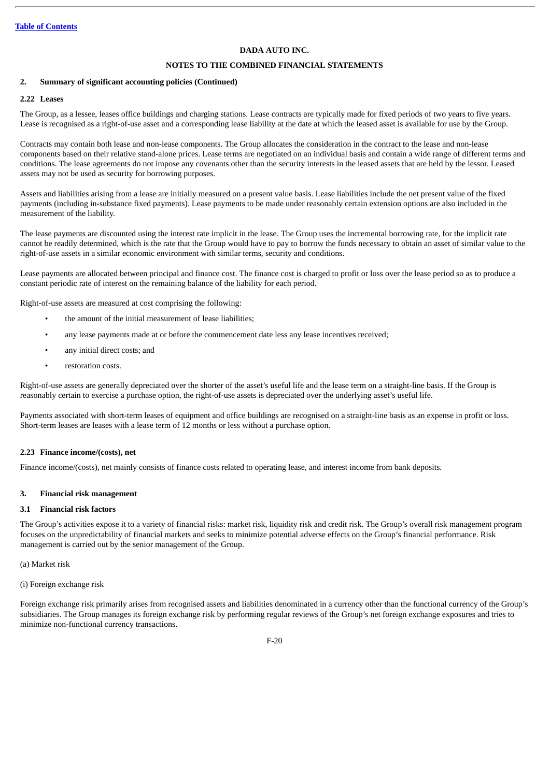## **NOTES TO THE COMBINED FINANCIAL STATEMENTS**

## **2. Summary of significant accounting policies (Continued)**

## **2.22 Leases**

The Group, as a lessee, leases office buildings and charging stations. Lease contracts are typically made for fixed periods of two years to five years. Lease is recognised as a right-of-use asset and a corresponding lease liability at the date at which the leased asset is available for use by the Group.

Contracts may contain both lease and non-lease components. The Group allocates the consideration in the contract to the lease and non-lease components based on their relative stand-alone prices. Lease terms are negotiated on an individual basis and contain a wide range of different terms and conditions. The lease agreements do not impose any covenants other than the security interests in the leased assets that are held by the lessor. Leased assets may not be used as security for borrowing purposes.

Assets and liabilities arising from a lease are initially measured on a present value basis. Lease liabilities include the net present value of the fixed payments (including in-substance fixed payments). Lease payments to be made under reasonably certain extension options are also included in the measurement of the liability.

The lease payments are discounted using the interest rate implicit in the lease. The Group uses the incremental borrowing rate, for the implicit rate cannot be readily determined, which is the rate that the Group would have to pay to borrow the funds necessary to obtain an asset of similar value to the right-of-use assets in a similar economic environment with similar terms, security and conditions.

Lease payments are allocated between principal and finance cost. The finance cost is charged to profit or loss over the lease period so as to produce a constant periodic rate of interest on the remaining balance of the liability for each period.

Right-of-use assets are measured at cost comprising the following:

- the amount of the initial measurement of lease liabilities;
- any lease payments made at or before the commencement date less any lease incentives received;
- any initial direct costs; and
- restoration costs.

Right-of-use assets are generally depreciated over the shorter of the asset's useful life and the lease term on a straight-line basis. If the Group is reasonably certain to exercise a purchase option, the right-of-use assets is depreciated over the underlying asset's useful life.

Payments associated with short-term leases of equipment and office buildings are recognised on a straight-line basis as an expense in profit or loss. Short-term leases are leases with a lease term of 12 months or less without a purchase option.

## **2.23 Finance income/(costs), net**

Finance income/(costs), net mainly consists of finance costs related to operating lease, and interest income from bank deposits.

## **3. Financial risk management**

#### **3.1 Financial risk factors**

The Group's activities expose it to a variety of financial risks: market risk, liquidity risk and credit risk. The Group's overall risk management program focuses on the unpredictability of financial markets and seeks to minimize potential adverse effects on the Group's financial performance. Risk management is carried out by the senior management of the Group.

(a) Market risk

#### (i) Foreign exchange risk

Foreign exchange risk primarily arises from recognised assets and liabilities denominated in a currency other than the functional currency of the Group's subsidiaries. The Group manages its foreign exchange risk by performing regular reviews of the Group's net foreign exchange exposures and tries to minimize non-functional currency transactions.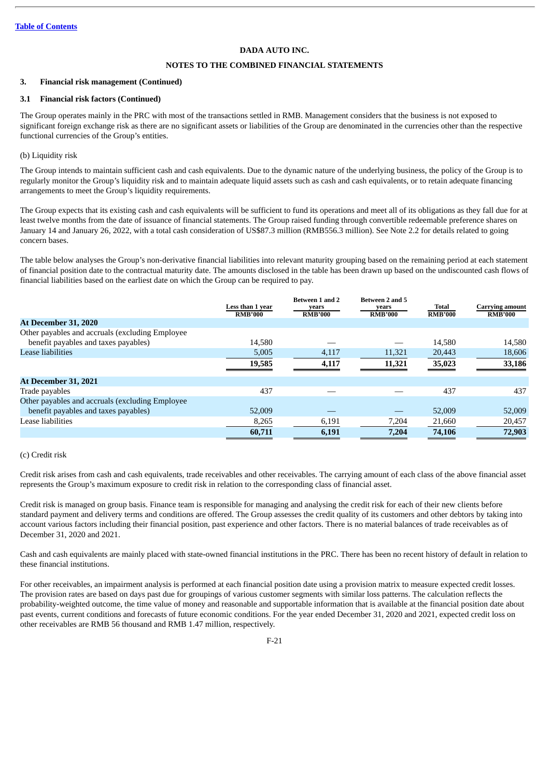## **NOTES TO THE COMBINED FINANCIAL STATEMENTS**

#### **3. Financial risk management (Continued)**

## **3.1 Financial risk factors (Continued)**

The Group operates mainly in the PRC with most of the transactions settled in RMB. Management considers that the business is not exposed to significant foreign exchange risk as there are no significant assets or liabilities of the Group are denominated in the currencies other than the respective functional currencies of the Group's entities.

## (b) Liquidity risk

The Group intends to maintain sufficient cash and cash equivalents. Due to the dynamic nature of the underlying business, the policy of the Group is to regularly monitor the Group's liquidity risk and to maintain adequate liquid assets such as cash and cash equivalents, or to retain adequate financing arrangements to meet the Group's liquidity requirements.

The Group expects that its existing cash and cash equivalents will be sufficient to fund its operations and meet all of its obligations as they fall due for at least twelve months from the date of issuance of financial statements. The Group raised funding through convertible redeemable preference shares on January 14 and January 26, 2022, with a total cash consideration of US\$87.3 million (RMB556.3 million). See Note 2.2 for details related to going concern bases.

The table below analyses the Group's non-derivative financial liabilities into relevant maturity grouping based on the remaining period at each statement of financial position date to the contractual maturity date. The amounts disclosed in the table has been drawn up based on the undiscounted cash flows of financial liabilities based on the earliest date on which the Group can be required to pay.

|                                                  | Less than 1 year<br><b>RMB'000</b> | <b>Between 1 and 2</b><br>vears<br><b>RMB'000</b> | <b>Between 2 and 5</b><br>vears<br><b>RMB'000</b> | Total<br><b>RMB'000</b> | <b>Carrying amount</b><br><b>RMB'000</b> |
|--------------------------------------------------|------------------------------------|---------------------------------------------------|---------------------------------------------------|-------------------------|------------------------------------------|
| <b>At December 31, 2020</b>                      |                                    |                                                   |                                                   |                         |                                          |
| Other payables and accruals (excluding Employee  |                                    |                                                   |                                                   |                         |                                          |
| benefit payables and taxes payables)             | 14.580                             |                                                   |                                                   | 14.580                  | 14,580                                   |
| Lease liabilities                                | 5,005                              | 4,117                                             | 11,321                                            | 20,443                  | 18,606                                   |
|                                                  | 19,585                             | 4,117                                             | 11,321                                            | 35,023                  | 33,186                                   |
| <b>At December 31, 2021</b>                      |                                    |                                                   |                                                   |                         |                                          |
| Trade payables                                   | 437                                |                                                   |                                                   | 437                     | 437                                      |
| Other payables and accruals (excluding Employee) |                                    |                                                   |                                                   |                         |                                          |
| benefit payables and taxes payables)             | 52,009                             |                                                   |                                                   | 52,009                  | 52,009                                   |
| Lease liabilities                                | 8,265                              | 6,191                                             | 7,204                                             | 21,660                  | 20,457                                   |
|                                                  | 60,711                             | 6,191                                             | 7.204                                             | 74,106                  | 72,903                                   |

#### (c) Credit risk

Credit risk arises from cash and cash equivalents, trade receivables and other receivables. The carrying amount of each class of the above financial asset represents the Group's maximum exposure to credit risk in relation to the corresponding class of financial asset.

Credit risk is managed on group basis. Finance team is responsible for managing and analysing the credit risk for each of their new clients before standard payment and delivery terms and conditions are offered. The Group assesses the credit quality of its customers and other debtors by taking into account various factors including their financial position, past experience and other factors. There is no material balances of trade receivables as of December 31, 2020 and 2021.

Cash and cash equivalents are mainly placed with state-owned financial institutions in the PRC. There has been no recent history of default in relation to these financial institutions.

For other receivables, an impairment analysis is performed at each financial position date using a provision matrix to measure expected credit losses. The provision rates are based on days past due for groupings of various customer segments with similar loss patterns. The calculation reflects the probability-weighted outcome, the time value of money and reasonable and supportable information that is available at the financial position date about past events, current conditions and forecasts of future economic conditions. For the year ended December 31, 2020 and 2021, expected credit loss on other receivables are RMB 56 thousand and RMB 1.47 million, respectively.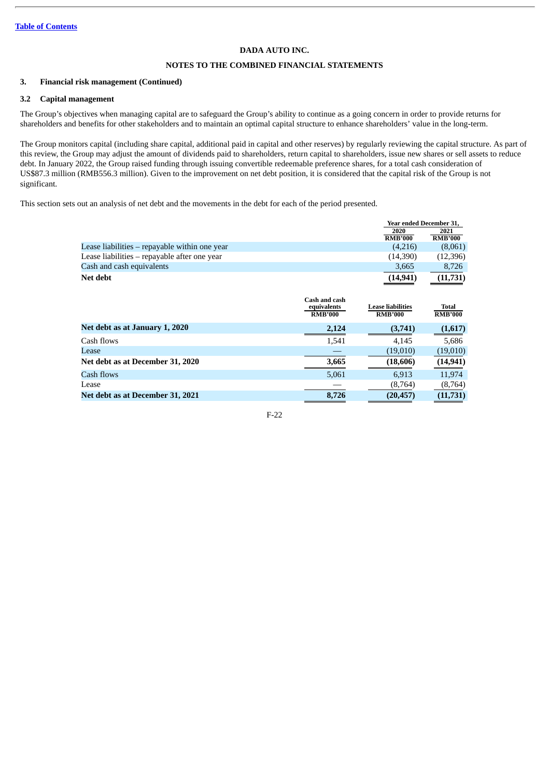## **NOTES TO THE COMBINED FINANCIAL STATEMENTS**

## **3. Financial risk management (Continued)**

## **3.2 Capital management**

The Group's objectives when managing capital are to safeguard the Group's ability to continue as a going concern in order to provide returns for shareholders and benefits for other stakeholders and to maintain an optimal capital structure to enhance shareholders' value in the long-term.

The Group monitors capital (including share capital, additional paid in capital and other reserves) by regularly reviewing the capital structure. As part of this review, the Group may adjust the amount of dividends paid to shareholders, return capital to shareholders, issue new shares or sell assets to reduce debt. In January 2022, the Group raised funding through issuing convertible redeemable preference shares, for a total cash consideration of US\$87.3 million (RMB556.3 million). Given to the improvement on net debt position, it is considered that the capital risk of the Group is not significant.

This section sets out an analysis of net debt and the movements in the debt for each of the period presented.

|                                               |                | Year ended December 31,  |                |
|-----------------------------------------------|----------------|--------------------------|----------------|
|                                               |                | 2020                     | 2021           |
|                                               |                | <b>RMB'000</b>           | <b>RMB'000</b> |
| Lease liabilities – repayable within one year |                | (4,216)                  | (8,061)        |
| Lease liabilities - repayable after one year  |                | (14,390)                 | (12, 396)      |
| Cash and cash equivalents                     |                | 3,665                    | 8,726          |
| Net debt                                      |                | (14, 941)                | (11,731)       |
|                                               |                |                          |                |
|                                               | Cash and cash  |                          |                |
|                                               | equivalents    | <b>Lease liabilities</b> | <b>Total</b>   |
|                                               | <b>RMB'000</b> | <b>RMB'000</b>           | <b>RMB'000</b> |
| Net debt as at January 1, 2020                | 2.124          | (3,741)                  | (1,617)        |
| Cash flows                                    | 1,541          | 4,145                    | 5,686          |
|                                               |                |                          |                |

| Casii Iluws                      | 1.041 | 4.140     | J,UUU     |
|----------------------------------|-------|-----------|-----------|
| Lease                            |       | (19.010)  | (19.010)  |
| Net debt as at December 31, 2020 | 3.665 | (18,606)  | (14, 941) |
| Cash flows                       | 5.061 | 6.913     | 11.974    |
| Lease                            |       | (8,764)   | (8,764)   |
| Net debt as at December 31, 2021 | 8.726 | (20, 457) | (11,731)  |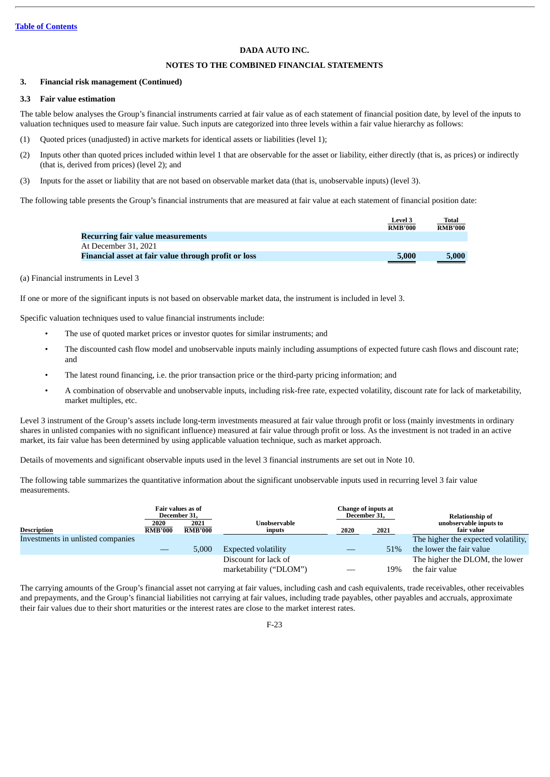## **NOTES TO THE COMBINED FINANCIAL STATEMENTS**

#### **3. Financial risk management (Continued)**

## **3.3 Fair value estimation**

The table below analyses the Group's financial instruments carried at fair value as of each statement of financial position date, by level of the inputs to valuation techniques used to measure fair value. Such inputs are categorized into three levels within a fair value hierarchy as follows:

- (1) Quoted prices (unadjusted) in active markets for identical assets or liabilities (level 1);
- (2) Inputs other than quoted prices included within level 1 that are observable for the asset or liability, either directly (that is, as prices) or indirectly (that is, derived from prices) (level 2); and
- (3) Inputs for the asset or liability that are not based on observable market data (that is, unobservable inputs) (level 3).

The following table presents the Group's financial instruments that are measured at fair value at each statement of financial position date:

|                                                      | <b>Level 3</b> | Total                                                                                                                |
|------------------------------------------------------|----------------|----------------------------------------------------------------------------------------------------------------------|
|                                                      | <b>RMB'000</b> | <b>RMB'000</b>                                                                                                       |
| <b>Recurring fair value measurements</b>             |                |                                                                                                                      |
| At December 31, 2021                                 |                |                                                                                                                      |
| Financial asset at fair value through profit or loss | 5,000          | 5,000                                                                                                                |
|                                                      |                | <u> a shekara ta 1999 yil a shekara ta 1999 yil a shekara ta 1999 yil a shekara ta 1999 yil a shekara ta 1999 yi</u> |

## (a) Financial instruments in Level 3

If one or more of the significant inputs is not based on observable market data, the instrument is included in level 3.

Specific valuation techniques used to value financial instruments include:

- The use of quoted market prices or investor quotes for similar instruments; and
- The discounted cash flow model and unobservable inputs mainly including assumptions of expected future cash flows and discount rate; and
- The latest round financing, i.e. the prior transaction price or the third-party pricing information; and
- A combination of observable and unobservable inputs, including risk-free rate, expected volatility, discount rate for lack of marketability, market multiples, etc.

Level 3 instrument of the Group's assets include long-term investments measured at fair value through profit or loss (mainly investments in ordinary shares in unlisted companies with no significant influence) measured at fair value through profit or loss. As the investment is not traded in an active market, its fair value has been determined by using applicable valuation technique, such as market approach.

Details of movements and significant observable inputs used in the level 3 financial instruments are set out in Note 10.

The following table summarizes the quantitative information about the significant unobservable inputs used in recurring level 3 fair value measurements.

|                                   |                        | Fair values as of<br>December 31, |                                                | Change of inputs at<br>December 31, |      | <b>Relationship of</b>                           |
|-----------------------------------|------------------------|-----------------------------------|------------------------------------------------|-------------------------------------|------|--------------------------------------------------|
| <b>Description</b>                | 2020<br><b>RMB'000</b> | 2021<br><b>RMB'000</b>            | Unobservable<br>inputs                         | 2020                                | 2021 | unobservable inputs to<br>fair value             |
| Investments in unlisted companies |                        |                                   |                                                |                                     |      | The higher the expected volatility,              |
|                                   |                        | 5,000                             | <b>Expected volatility</b>                     |                                     | 51%  | the lower the fair value                         |
|                                   |                        |                                   | Discount for lack of<br>marketability ("DLOM") |                                     | 19%  | The higher the DLOM, the lower<br>the fair value |

The carrying amounts of the Group's financial asset not carrying at fair values, including cash and cash equivalents, trade receivables, other receivables and prepayments, and the Group's financial liabilities not carrying at fair values, including trade payables, other payables and accruals, approximate their fair values due to their short maturities or the interest rates are close to the market interest rates.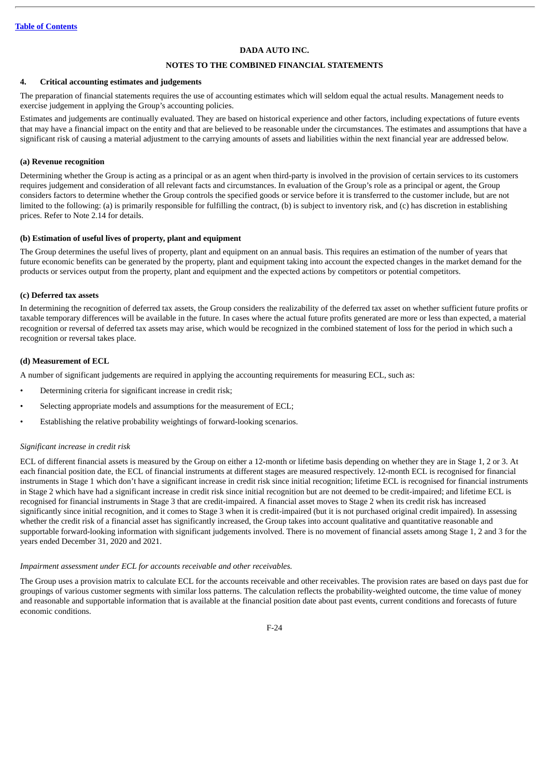## **NOTES TO THE COMBINED FINANCIAL STATEMENTS**

#### **4. Critical accounting estimates and judgements**

The preparation of financial statements requires the use of accounting estimates which will seldom equal the actual results. Management needs to exercise judgement in applying the Group's accounting policies.

Estimates and judgements are continually evaluated. They are based on historical experience and other factors, including expectations of future events that may have a financial impact on the entity and that are believed to be reasonable under the circumstances. The estimates and assumptions that have a significant risk of causing a material adjustment to the carrying amounts of assets and liabilities within the next financial year are addressed below.

## **(a) Revenue recognition**

Determining whether the Group is acting as a principal or as an agent when third-party is involved in the provision of certain services to its customers requires judgement and consideration of all relevant facts and circumstances. In evaluation of the Group's role as a principal or agent, the Group considers factors to determine whether the Group controls the specified goods or service before it is transferred to the customer include, but are not limited to the following: (a) is primarily responsible for fulfilling the contract, (b) is subject to inventory risk, and (c) has discretion in establishing prices. Refer to Note 2.14 for details.

## **(b) Estimation of useful lives of property, plant and equipment**

The Group determines the useful lives of property, plant and equipment on an annual basis. This requires an estimation of the number of years that future economic benefits can be generated by the property, plant and equipment taking into account the expected changes in the market demand for the products or services output from the property, plant and equipment and the expected actions by competitors or potential competitors.

## **(c) Deferred tax assets**

In determining the recognition of deferred tax assets, the Group considers the realizability of the deferred tax asset on whether sufficient future profits or taxable temporary differences will be available in the future. In cases where the actual future profits generated are more or less than expected, a material recognition or reversal of deferred tax assets may arise, which would be recognized in the combined statement of loss for the period in which such a recognition or reversal takes place.

## **(d) Measurement of ECL**

A number of significant judgements are required in applying the accounting requirements for measuring ECL, such as:

- Determining criteria for significant increase in credit risk;
- Selecting appropriate models and assumptions for the measurement of ECL;
- Establishing the relative probability weightings of forward-looking scenarios.

#### *Significant increase in credit risk*

ECL of different financial assets is measured by the Group on either a 12-month or lifetime basis depending on whether they are in Stage 1, 2 or 3. At each financial position date, the ECL of financial instruments at different stages are measured respectively. 12-month ECL is recognised for financial instruments in Stage 1 which don't have a significant increase in credit risk since initial recognition; lifetime ECL is recognised for financial instruments in Stage 2 which have had a significant increase in credit risk since initial recognition but are not deemed to be credit-impaired; and lifetime ECL is recognised for financial instruments in Stage 3 that are credit-impaired. A financial asset moves to Stage 2 when its credit risk has increased significantly since initial recognition, and it comes to Stage 3 when it is credit-impaired (but it is not purchased original credit impaired). In assessing whether the credit risk of a financial asset has significantly increased, the Group takes into account qualitative and quantitative reasonable and supportable forward-looking information with significant judgements involved. There is no movement of financial assets among Stage 1, 2 and 3 for the years ended December 31, 2020 and 2021.

#### *Impairment assessment under ECL for accounts receivable and other receivables.*

The Group uses a provision matrix to calculate ECL for the accounts receivable and other receivables. The provision rates are based on days past due for groupings of various customer segments with similar loss patterns. The calculation reflects the probability-weighted outcome, the time value of money and reasonable and supportable information that is available at the financial position date about past events, current conditions and forecasts of future economic conditions.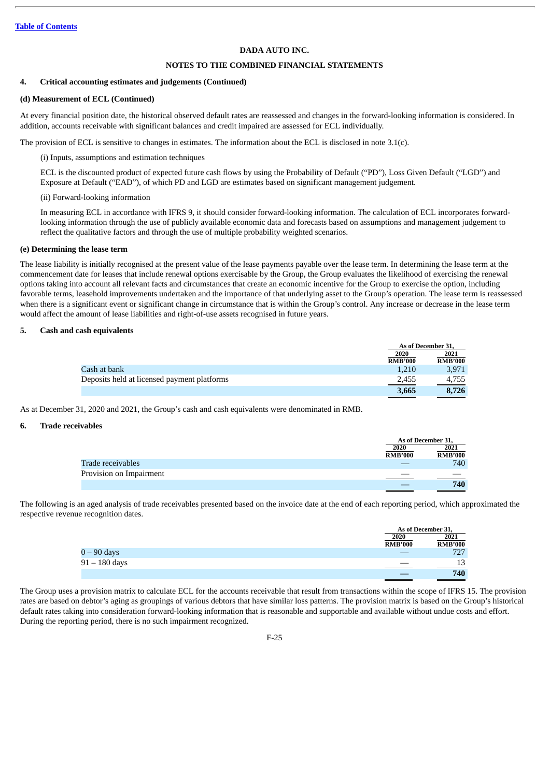## **NOTES TO THE COMBINED FINANCIAL STATEMENTS**

#### **4. Critical accounting estimates and judgements (Continued)**

## **(d) Measurement of ECL (Continued)**

At every financial position date, the historical observed default rates are reassessed and changes in the forward-looking information is considered. In addition, accounts receivable with significant balances and credit impaired are assessed for ECL individually.

The provision of ECL is sensitive to changes in estimates. The information about the ECL is disclosed in note 3.1(c).

(i) Inputs, assumptions and estimation techniques

ECL is the discounted product of expected future cash flows by using the Probability of Default ("PD"), Loss Given Default ("LGD") and Exposure at Default ("EAD"), of which PD and LGD are estimates based on significant management judgement.

## (ii) Forward-looking information

In measuring ECL in accordance with IFRS 9, it should consider forward-looking information. The calculation of ECL incorporates forwardlooking information through the use of publicly available economic data and forecasts based on assumptions and management judgement to reflect the qualitative factors and through the use of multiple probability weighted scenarios.

#### **(e) Determining the lease term**

The lease liability is initially recognised at the present value of the lease payments payable over the lease term. In determining the lease term at the commencement date for leases that include renewal options exercisable by the Group, the Group evaluates the likelihood of exercising the renewal options taking into account all relevant facts and circumstances that create an economic incentive for the Group to exercise the option, including favorable terms, leasehold improvements undertaken and the importance of that underlying asset to the Group's operation. The lease term is reassessed when there is a significant event or significant change in circumstance that is within the Group's control. Any increase or decrease in the lease term would affect the amount of lease liabilities and right-of-use assets recognised in future years.

#### **5. Cash and cash equivalents**

|                                             |                        | As of December 31.     |  |
|---------------------------------------------|------------------------|------------------------|--|
|                                             | 2020<br><b>RMB'000</b> | 2021<br><b>RMB'000</b> |  |
| Cash at bank                                | 1.210                  | 3,971                  |  |
| Deposits held at licensed payment platforms | 2.455                  | 4,755                  |  |
|                                             | 3.665                  | 8,726                  |  |

As at December 31, 2020 and 2021, the Group's cash and cash equivalents were denominated in RMB.

#### **6. Trade receivables**

|                         |                | As of December 31, |  |
|-------------------------|----------------|--------------------|--|
|                         | 2020           | 2021               |  |
|                         | <b>RMB'000</b> | <b>RMB'000</b>     |  |
| Trade receivables       |                | 740                |  |
| Provision on Impairment |                |                    |  |
|                         |                | 740                |  |

The following is an aged analysis of trade receivables presented based on the invoice date at the end of each reporting period, which approximated the respective revenue recognition dates.

|                 |         | As of December 31, |
|-----------------|---------|--------------------|
|                 | 2020    | 2021               |
|                 | RMB'000 | <b>RMB'000</b>     |
| $0-90$ days     |         | 727                |
| $91 - 180$ days |         | 12                 |
|                 |         | 740                |

The Group uses a provision matrix to calculate ECL for the accounts receivable that result from transactions within the scope of IFRS 15. The provision rates are based on debtor's aging as groupings of various debtors that have similar loss patterns. The provision matrix is based on the Group's historical default rates taking into consideration forward-looking information that is reasonable and supportable and available without undue costs and effort. During the reporting period, there is no such impairment recognized.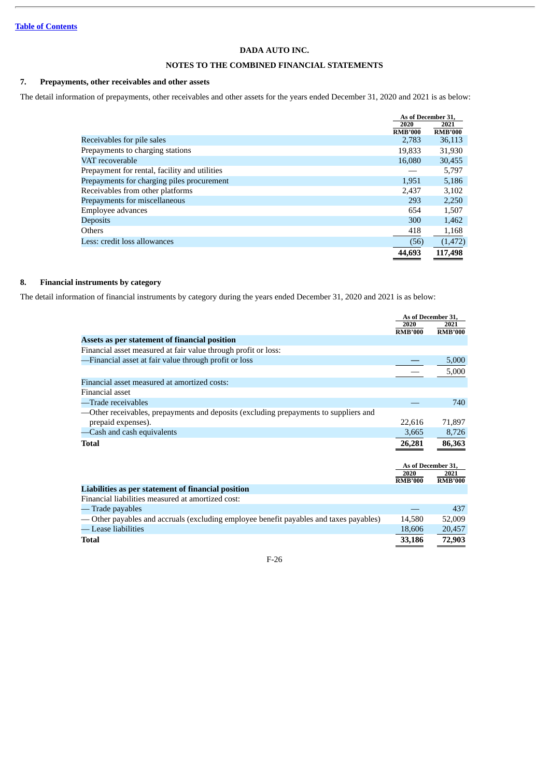## **NOTES TO THE COMBINED FINANCIAL STATEMENTS**

## **7. Prepayments, other receivables and other assets**

The detail information of prepayments, other receivables and other assets for the years ended December 31, 2020 and 2021 is as below:

|                                               | As of December 31,      |                          |
|-----------------------------------------------|-------------------------|--------------------------|
|                                               | 2020                    | 2021                     |
| Receivables for pile sales                    | <b>RMB'000</b><br>2,783 | <b>RMB'000</b><br>36,113 |
|                                               |                         |                          |
| Prepayments to charging stations              | 19,833                  | 31,930                   |
| VAT recoverable                               | 16,080                  | 30,455                   |
| Prepayment for rental, facility and utilities |                         | 5,797                    |
| Prepayments for charging piles procurement    | 1,951                   | 5,186                    |
| Receivables from other platforms              | 2.437                   | 3,102                    |
| Prepayments for miscellaneous                 | 293                     | 2,250                    |
| Employee advances                             | 654                     | 1,507                    |
| <b>Deposits</b>                               | 300                     | 1,462                    |
| Others                                        | 418                     | 1,168                    |
| Less: credit loss allowances                  | (56)                    | (1, 472)                 |
|                                               | 44,693                  | 117,498                  |

## **8. Financial instruments by category**

The detail information of financial instruments by category during the years ended December 31, 2020 and 2021 is as below:

|                                                                                        | 2020           | As of December 31,<br>2021 |
|----------------------------------------------------------------------------------------|----------------|----------------------------|
|                                                                                        | <b>RMB'000</b> | <b>RMB'000</b>             |
| Assets as per statement of financial position                                          |                |                            |
| Financial asset measured at fair value through profit or loss:                         |                |                            |
| -Financial asset at fair value through profit or loss                                  |                | 5,000                      |
|                                                                                        |                | 5,000                      |
| Financial asset measured at amortized costs:                                           |                |                            |
| Financial asset                                                                        |                |                            |
| -Trade receivables                                                                     |                | 740                        |
| —Other receivables, prepayments and deposits (excluding prepayments to suppliers and   |                |                            |
| prepaid expenses).                                                                     | 22,616         | 71,897                     |
| -Cash and cash equivalents                                                             | 3,665          | 8,726                      |
| <b>Total</b>                                                                           | 26,281         | 86,363                     |
|                                                                                        |                |                            |
|                                                                                        |                | As of December 31,         |
|                                                                                        | 2020           | 2021                       |
|                                                                                        | <b>RMB'000</b> | <b>RMB'000</b>             |
| Liabilities as per statement of financial position                                     |                |                            |
| Financial liabilities measured at amortized cost:                                      |                |                            |
| Trade payables                                                                         |                | 437                        |
| — Other payables and accruals (excluding employee benefit payables and taxes payables) | 14,580         | 52,009                     |
| — Lease liabilities                                                                    | 18,606         | 20,457                     |
| Total                                                                                  | 33,186         | 72,903                     |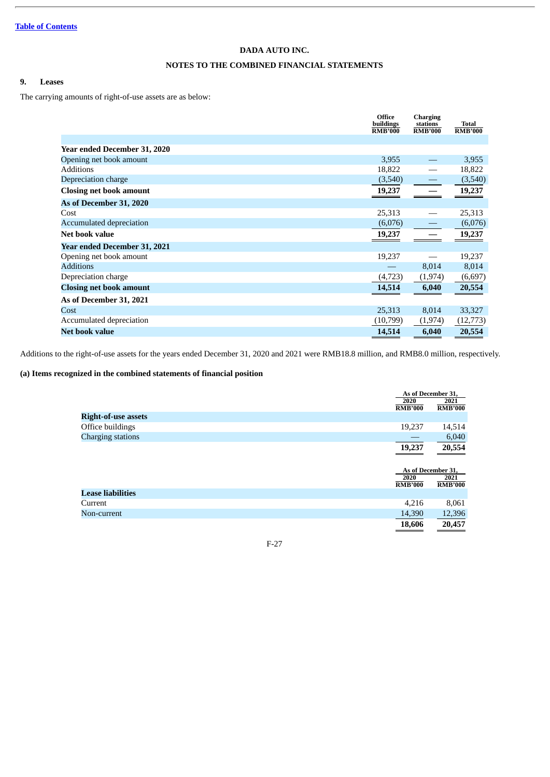## **NOTES TO THE COMBINED FINANCIAL STATEMENTS**

## **9. Leases**

The carrying amounts of right-of-use assets are as below:

|                                | Office<br>buildings<br><b>RMB'000</b> | <b>Charging</b><br>stations<br><b>RMB'000</b> | <b>Total</b><br><b>RMB'000</b> |
|--------------------------------|---------------------------------------|-----------------------------------------------|--------------------------------|
|                                |                                       |                                               |                                |
| Year ended December 31, 2020   |                                       |                                               |                                |
| Opening net book amount        | 3,955                                 |                                               | 3,955                          |
| <b>Additions</b>               | 18,822                                |                                               | 18,822                         |
| Depreciation charge            | (3,540)                               |                                               | (3,540)                        |
| <b>Closing net book amount</b> | 19,237                                |                                               | 19,237                         |
| As of December 31, 2020        |                                       |                                               |                                |
| Cost                           | 25,313                                |                                               | 25,313                         |
| Accumulated depreciation       | (6,076)                               |                                               | (6,076)                        |
| Net book value                 | 19,237                                |                                               | 19,237                         |
| Year ended December 31, 2021   |                                       |                                               |                                |
| Opening net book amount        | 19,237                                |                                               | 19,237                         |
| <b>Additions</b>               |                                       | 8,014                                         | 8,014                          |
| Depreciation charge            | (4, 723)                              | (1, 974)                                      | (6,697)                        |
| <b>Closing net book amount</b> | 14,514                                | 6,040                                         | 20,554                         |
| As of December 31, 2021        |                                       |                                               |                                |
| Cost                           | 25,313                                | 8,014                                         | 33,327                         |
| Accumulated depreciation       | (10,799)                              | (1, 974)                                      | (12, 773)                      |
| <b>Net book value</b>          | 14,514                                | 6,040                                         | 20,554                         |

Additions to the right-of-use assets for the years ended December 31, 2020 and 2021 were RMB18.8 million, and RMB8.0 million, respectively.

## **(a) Items recognized in the combined statements of financial position**

|                            |                        | As of December 31,         |
|----------------------------|------------------------|----------------------------|
|                            | 2020<br><b>RMB'000</b> | 2021<br><b>RMB'000</b>     |
| <b>Right-of-use assets</b> |                        |                            |
| Office buildings           | 19,237                 | 14,514                     |
| <b>Charging stations</b>   |                        | 6,040                      |
|                            | 19,237                 | 20,554                     |
|                            | 2020                   | As of December 31,<br>2021 |
|                            | <b>RMB'000</b>         | <b>RMB'000</b>             |
| <b>Lease liabilities</b>   |                        |                            |
| Current                    | 4,216                  | 8,061                      |
| Non-current                | 14,390                 | 12,396                     |
|                            | 18,606                 | 20,457                     |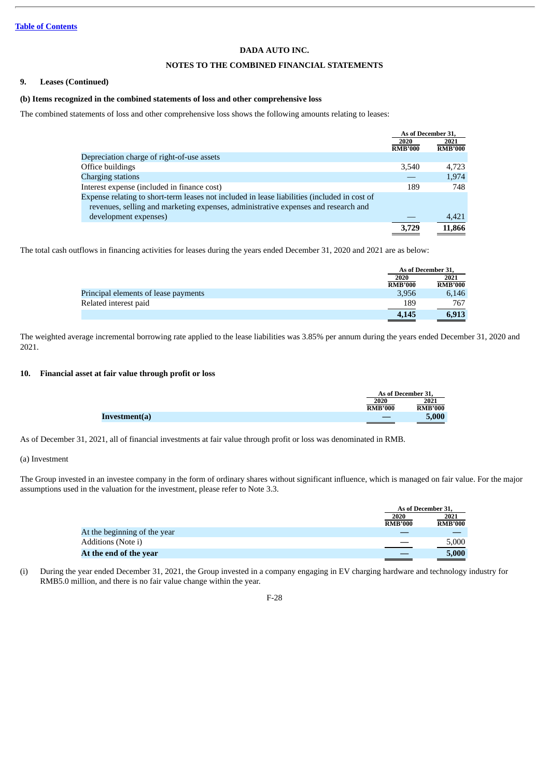## **NOTES TO THE COMBINED FINANCIAL STATEMENTS**

#### **9. Leases (Continued)**

#### **(b) Items recognized in the combined statements of loss and other comprehensive loss**

The combined statements of loss and other comprehensive loss shows the following amounts relating to leases:

|                                                                                              | As of December 31, |                |
|----------------------------------------------------------------------------------------------|--------------------|----------------|
|                                                                                              | 2020               | 2021           |
|                                                                                              | <b>RMB'000</b>     | <b>RMB'000</b> |
| Depreciation charge of right-of-use assets                                                   |                    |                |
| Office buildings                                                                             | 3.540              | 4.723          |
| Charging stations                                                                            |                    | 1,974          |
| Interest expense (included in finance cost)                                                  | 189                | 748            |
| Expense relating to short-term leases not included in lease liabilities (included in cost of |                    |                |
| revenues, selling and marketing expenses, administrative expenses and research and           |                    |                |
| development expenses)                                                                        |                    | 4,421          |
|                                                                                              | 3.729              | 11,866         |

The total cash outflows in financing activities for leases during the years ended December 31, 2020 and 2021 are as below:

|                                      | As of December 31, |                |
|--------------------------------------|--------------------|----------------|
|                                      | 2020               | 2021           |
|                                      | <b>RMB'000</b>     | <b>RMB'000</b> |
| Principal elements of lease payments | 3,956              | 6.146          |
| Related interest paid                | 189                | 767            |
|                                      | 4,145              | 6,913          |

The weighted average incremental borrowing rate applied to the lease liabilities was 3.85% per annum during the years ended December 31, 2020 and 2021.

## **10. Financial asset at fair value through profit or loss**

|               |                | As of December 31. |  |
|---------------|----------------|--------------------|--|
|               | 2020           | 2021               |  |
|               | <b>RMB'000</b> | <b>RMB'000</b>     |  |
| Investment(a) | __             | 5.000              |  |

As of December 31, 2021, all of financial investments at fair value through profit or loss was denominated in RMB.

## (a) Investment

The Group invested in an investee company in the form of ordinary shares without significant influence, which is managed on fair value. For the major assumptions used in the valuation for the investment, please refer to Note 3.3.

|                              |                | As of December 31, |  |
|------------------------------|----------------|--------------------|--|
|                              | 2020           | 2021               |  |
|                              | <b>RMB'000</b> | <b>RMB'000</b>     |  |
| At the beginning of the year |                |                    |  |
| Additions (Note i)           |                | 5,000              |  |
| At the end of the year       |                | 5,000              |  |

(i) During the year ended December 31, 2021, the Group invested in a company engaging in EV charging hardware and technology industry for RMB5.0 million, and there is no fair value change within the year.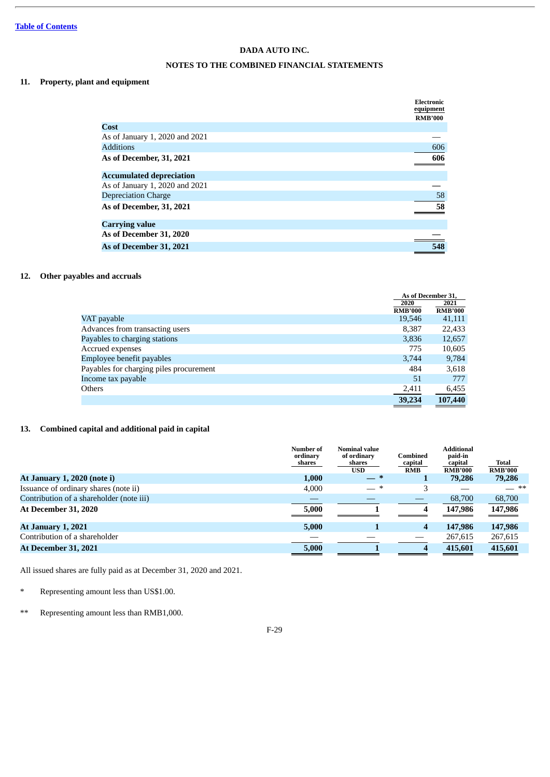## **NOTES TO THE COMBINED FINANCIAL STATEMENTS**

## **11. Property, plant and equipment**

|                                 | Electronic<br>equipment |
|---------------------------------|-------------------------|
|                                 | <b>RMB'000</b>          |
| Cost                            |                         |
| As of January 1, 2020 and 2021  |                         |
| <b>Additions</b>                | 606                     |
| As of December, 31, 2021        | 606                     |
| <b>Accumulated depreciation</b> |                         |
| As of January 1, 2020 and 2021  |                         |
| <b>Depreciation Charge</b>      | 58                      |
| As of December, 31, 2021        | 58                      |
| <b>Carrying value</b>           |                         |
| As of December 31, 2020         |                         |
| As of December 31, 2021         | 548                     |

## **12. Other payables and accruals**

|                                         |                | As of December 31. |  |
|-----------------------------------------|----------------|--------------------|--|
|                                         | 2020           | 2021               |  |
|                                         | <b>RMB'000</b> | <b>RMB'000</b>     |  |
| VAT payable                             | 19,546         | 41,111             |  |
| Advances from transacting users         | 8,387          | 22,433             |  |
| Payables to charging stations           | 3,836          | 12,657             |  |
| Accrued expenses                        | 775            | 10,605             |  |
| Employee benefit payables               | 3,744          | 9,784              |  |
| Payables for charging piles procurement | 484            | 3,618              |  |
| Income tax payable                      | 51             | 777                |  |
| Others                                  | 2,411          | 6,455              |  |
|                                         | 39,234         | 107,440            |  |

## **13. Combined capital and additional paid in capital**

|                                          | Number of<br>ordinary<br>shares | <b>Nominal value</b><br>of ordinary<br>shares<br><b>USD</b> | Combined<br>capital<br><b>RMB</b> | <b>Additional</b><br>paid-in<br>capital<br><b>RMB'000</b> | Total<br><b>RMB'000</b> |
|------------------------------------------|---------------------------------|-------------------------------------------------------------|-----------------------------------|-----------------------------------------------------------|-------------------------|
| At January 1, 2020 (note i)              | 1,000                           | — *                                                         |                                   | 79,286                                                    | 79,286                  |
| Issuance of ordinary shares (note ii)    | 4,000                           | $-$ *                                                       | 3                                 |                                                           | — **                    |
| Contribution of a shareholder (note iii) |                                 |                                                             |                                   | 68,700                                                    | 68,700                  |
| <b>At December 31, 2020</b>              | 5,000                           |                                                             | 4                                 | 147,986                                                   | 147,986                 |
| <b>At January 1, 2021</b>                | 5,000                           |                                                             | 4                                 | 147,986                                                   | 147,986                 |
| Contribution of a shareholder            |                                 |                                                             |                                   | 267,615                                                   | 267,615                 |
| <b>At December 31, 2021</b>              | 5,000                           |                                                             | 4                                 | 415.601                                                   | 415,601                 |

All issued shares are fully paid as at December 31, 2020 and 2021.

- \* Representing amount less than US\$1.00.
- \*\* Representing amount less than RMB1,000.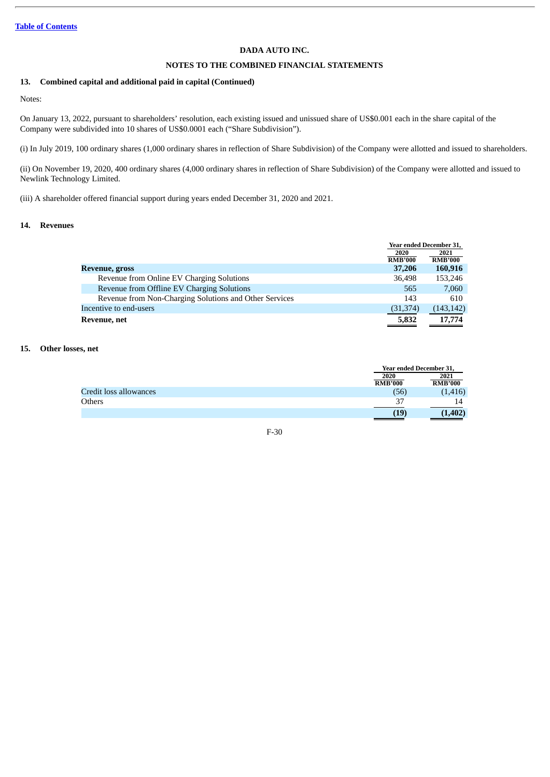## **NOTES TO THE COMBINED FINANCIAL STATEMENTS**

## **13. Combined capital and additional paid in capital (Continued)**

Notes:

On January 13, 2022, pursuant to shareholders' resolution, each existing issued and unissued share of US\$0.001 each in the share capital of the Company were subdivided into 10 shares of US\$0.0001 each ("Share Subdivision").

(i) In July 2019, 100 ordinary shares (1,000 ordinary shares in reflection of Share Subdivision) of the Company were allotted and issued to shareholders.

(ii) On November 19, 2020, 400 ordinary shares (4,000 ordinary shares in reflection of Share Subdivision) of the Company were allotted and issued to Newlink Technology Limited.

(iii) A shareholder offered financial support during years ended December 31, 2020 and 2021.

## **14. Revenues**

|                                                        | Year ended December 31, |                |
|--------------------------------------------------------|-------------------------|----------------|
|                                                        | 2020                    | 2021           |
|                                                        | <b>RMB'000</b>          | <b>RMB'000</b> |
| Revenue, gross                                         | 37,206                  | 160,916        |
| Revenue from Online EV Charging Solutions              | 36,498                  | 153,246        |
| Revenue from Offline EV Charging Solutions             | 565                     | 7,060          |
| Revenue from Non-Charging Solutions and Other Services | 143                     | 610            |
| Incentive to end-users                                 | (31, 374)               | (143, 142)     |
| Revenue, net                                           | 5,832                   | 17,774         |

#### **15. Other losses, net**

|                        |                | Year ended December 31, |  |
|------------------------|----------------|-------------------------|--|
|                        | 2020           | 2021                    |  |
|                        | <b>RMB'000</b> | <b>RMB'000</b>          |  |
| Credit loss allowances | (56)           | (1, 416)                |  |
| <b>Others</b>          | 37             |                         |  |
|                        | (19            | (1,402)                 |  |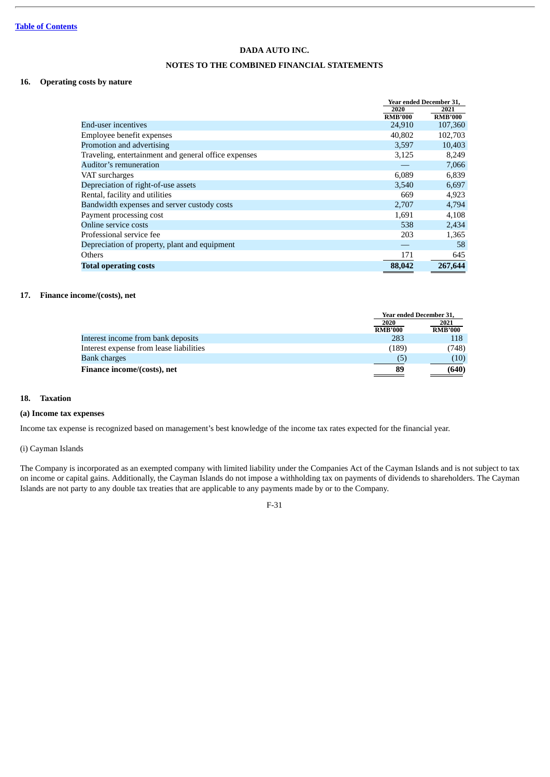## **NOTES TO THE COMBINED FINANCIAL STATEMENTS**

## **16. Operating costs by nature**

|                                                      | Year ended December 31, |                |
|------------------------------------------------------|-------------------------|----------------|
|                                                      | 2020                    | 2021           |
|                                                      | <b>RMB'000</b>          | <b>RMB'000</b> |
| End-user incentives                                  | 24,910                  | 107,360        |
| Employee benefit expenses                            | 40,802                  | 102,703        |
| Promotion and advertising                            | 3,597                   | 10,403         |
| Traveling, entertainment and general office expenses | 3,125                   | 8,249          |
| Auditor's remuneration                               |                         | 7,066          |
| VAT surcharges                                       | 6.089                   | 6,839          |
| Depreciation of right-of-use assets                  | 3,540                   | 6,697          |
| Rental, facility and utilities                       | 669                     | 4,923          |
| Bandwidth expenses and server custody costs          | 2,707                   | 4,794          |
| Payment processing cost                              | 1,691                   | 4,108          |
| Online service costs                                 | 538                     | 2,434          |
| Professional service fee                             | 203                     | 1,365          |
| Depreciation of property, plant and equipment        |                         | 58             |
| Others                                               | 171                     | 645            |
| <b>Total operating costs</b>                         | 88,042                  | 267,644        |

## **17. Finance income/(costs), net**

|                                         | Year ended December 31, |                        |
|-----------------------------------------|-------------------------|------------------------|
|                                         | 2020<br><b>RMB'000</b>  | 2021<br><b>RMB'000</b> |
| Interest income from bank deposits      | 283                     | 118                    |
| Interest expense from lease liabilities | (189)                   | (748)                  |
| <b>Bank charges</b>                     | (5)                     | (10)                   |
| Finance income/(costs), net             | 89                      | (640)                  |

## **18. Taxation**

## **(a) Income tax expenses**

Income tax expense is recognized based on management's best knowledge of the income tax rates expected for the financial year.

## (i) Cayman Islands

The Company is incorporated as an exempted company with limited liability under the Companies Act of the Cayman Islands and is not subject to tax on income or capital gains. Additionally, the Cayman Islands do not impose a withholding tax on payments of dividends to shareholders. The Cayman Islands are not party to any double tax treaties that are applicable to any payments made by or to the Company.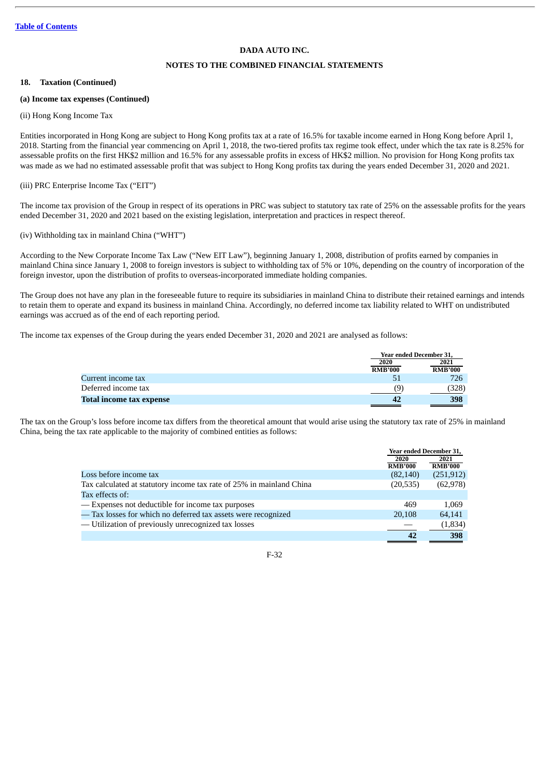## **NOTES TO THE COMBINED FINANCIAL STATEMENTS**

#### **18. Taxation (Continued)**

## **(a) Income tax expenses (Continued)**

## (ii) Hong Kong Income Tax

Entities incorporated in Hong Kong are subject to Hong Kong profits tax at a rate of 16.5% for taxable income earned in Hong Kong before April 1, 2018. Starting from the financial year commencing on April 1, 2018, the two-tiered profits tax regime took effect, under which the tax rate is 8.25% for assessable profits on the first HK\$2 million and 16.5% for any assessable profits in excess of HK\$2 million. No provision for Hong Kong profits tax was made as we had no estimated assessable profit that was subject to Hong Kong profits tax during the years ended December 31, 2020 and 2021.

## (iii) PRC Enterprise Income Tax ("EIT")

The income tax provision of the Group in respect of its operations in PRC was subject to statutory tax rate of 25% on the assessable profits for the years ended December 31, 2020 and 2021 based on the existing legislation, interpretation and practices in respect thereof.

## (iv) Withholding tax in mainland China ("WHT")

According to the New Corporate Income Tax Law ("New EIT Law"), beginning January 1, 2008, distribution of profits earned by companies in mainland China since January 1, 2008 to foreign investors is subject to withholding tax of 5% or 10%, depending on the country of incorporation of the foreign investor, upon the distribution of profits to overseas-incorporated immediate holding companies.

The Group does not have any plan in the foreseeable future to require its subsidiaries in mainland China to distribute their retained earnings and intends to retain them to operate and expand its business in mainland China. Accordingly, no deferred income tax liability related to WHT on undistributed earnings was accrued as of the end of each reporting period.

The income tax expenses of the Group during the years ended December 31, 2020 and 2021 are analysed as follows:

|                                 |                | Year ended December 31, |  |
|---------------------------------|----------------|-------------------------|--|
|                                 | 2020           | 2021                    |  |
|                                 | <b>RMB'000</b> | <b>RMB'000</b>          |  |
| Current income tax              |                | 726                     |  |
| Deferred income tax             | (9)            | 328)                    |  |
| <b>Total income tax expense</b> |                | 398                     |  |

The tax on the Group's loss before income tax differs from the theoretical amount that would arise using the statutory tax rate of 25% in mainland China, being the tax rate applicable to the majority of combined entities as follows:

| Year ended December 31, |                |
|-------------------------|----------------|
| 2020                    | 2021           |
| <b>RMB'000</b>          | <b>RMB'000</b> |
| (82, 140)               | (251, 912)     |
| (20, 535)               | (62, 978)      |
|                         |                |
| 469                     | 1,069          |
| 20,108                  | 64,141         |
|                         | (1,834)        |
| 42                      | 398            |
|                         |                |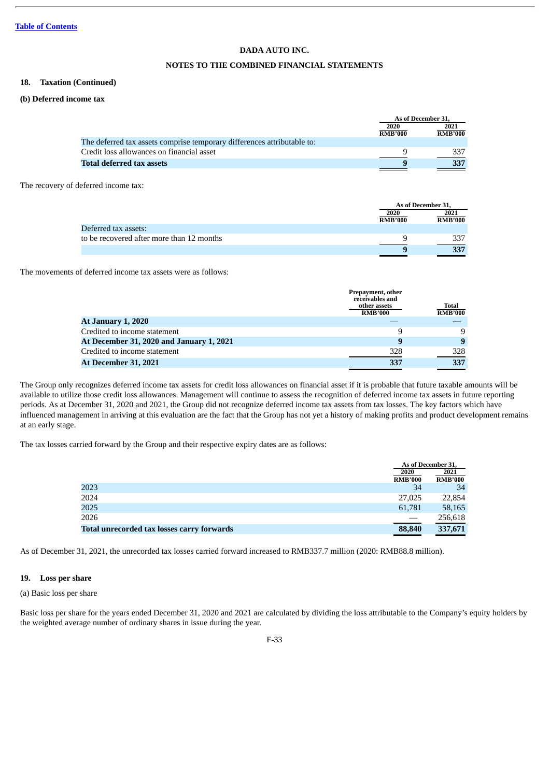## **NOTES TO THE COMBINED FINANCIAL STATEMENTS**

#### **18. Taxation (Continued)**

## **(b) Deferred income tax**

|                                                                         |                        | As of December 31,     |  |
|-------------------------------------------------------------------------|------------------------|------------------------|--|
|                                                                         | 2020<br><b>RMB'000</b> | 2021<br><b>RMB'000</b> |  |
| The deferred tax assets comprise temporary differences attributable to: |                        |                        |  |
| Credit loss allowances on financial asset                               |                        |                        |  |
| Total deferred tax assets                                               |                        |                        |  |
|                                                                         |                        |                        |  |

The recovery of deferred income tax:

|                                           |                | As of December 31, |  |
|-------------------------------------------|----------------|--------------------|--|
|                                           | 2020           | 2021               |  |
|                                           | <b>RMB'000</b> | <b>RMB'000</b>     |  |
| Deferred tax assets:                      |                |                    |  |
| to be recovered after more than 12 months |                |                    |  |
|                                           |                | 227                |  |

The movements of deferred income tax assets were as follows:

|                                          | Prepayment, other<br>receivables and<br>other assets<br><b>RMB'000</b> | Total<br><b>RMB'000</b> |
|------------------------------------------|------------------------------------------------------------------------|-------------------------|
| <b>At January 1, 2020</b>                |                                                                        |                         |
| Credited to income statement             | 9                                                                      | 9                       |
| At December 31, 2020 and January 1, 2021 | 9                                                                      | 9                       |
| Credited to income statement             | 328                                                                    | 328                     |
| <b>At December 31, 2021</b>              | 337                                                                    | 337                     |

The Group only recognizes deferred income tax assets for credit loss allowances on financial asset if it is probable that future taxable amounts will be available to utilize those credit loss allowances. Management will continue to assess the recognition of deferred income tax assets in future reporting periods. As at December 31, 2020 and 2021, the Group did not recognize deferred income tax assets from tax losses. The key factors which have influenced management in arriving at this evaluation are the fact that the Group has not yet a history of making profits and product development remains at an early stage.

The tax losses carried forward by the Group and their respective expiry dates are as follows:

|                                            | As of December 31. |                |
|--------------------------------------------|--------------------|----------------|
|                                            | 2020               | 2021           |
|                                            | <b>RMB'000</b>     | <b>RMB'000</b> |
| 2023                                       | 34                 | 34             |
| 2024                                       | 27,025             | 22,854         |
| 2025                                       | 61,781             | 58,165         |
| 2026                                       |                    | 256,618        |
| Total unrecorded tax losses carry forwards | 88,840             | 337,671        |

As of December 31, 2021, the unrecorded tax losses carried forward increased to RMB337.7 million (2020: RMB88.8 million).

## **19. Loss per share**

## (a) Basic loss per share

Basic loss per share for the years ended December 31, 2020 and 2021 are calculated by dividing the loss attributable to the Company's equity holders by the weighted average number of ordinary shares in issue during the year.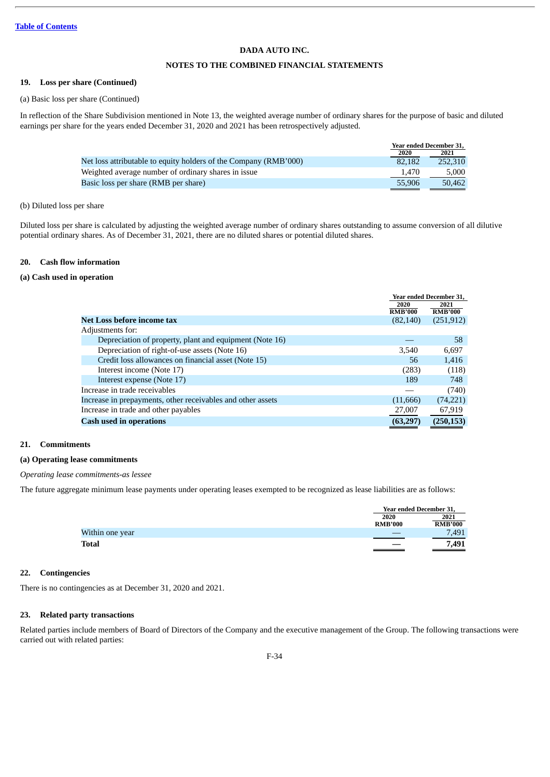## **NOTES TO THE COMBINED FINANCIAL STATEMENTS**

#### **19. Loss per share (Continued)**

(a) Basic loss per share (Continued)

In reflection of the Share Subdivision mentioned in Note 13, the weighted average number of ordinary shares for the purpose of basic and diluted earnings per share for the years ended December 31, 2020 and 2021 has been retrospectively adjusted.

|                                                                  | Year ended December 31, |                                                                                                                                 |
|------------------------------------------------------------------|-------------------------|---------------------------------------------------------------------------------------------------------------------------------|
|                                                                  | 2020                    | 2021                                                                                                                            |
| Net loss attributable to equity holders of the Company (RMB'000) | 82,182                  | 252,310                                                                                                                         |
| Weighted average number of ordinary shares in issue              | 1.470                   | 5.000                                                                                                                           |
| Basic loss per share (RMB per share)                             | 55,906                  | 50,462<br><u> Tanzania de la contenentación de la contenentación de la contenentación de la contenentación de la contenenta</u> |
|                                                                  |                         |                                                                                                                                 |

## (b) Diluted loss per share

Diluted loss per share is calculated by adjusting the weighted average number of ordinary shares outstanding to assume conversion of all dilutive potential ordinary shares. As of December 31, 2021, there are no diluted shares or potential diluted shares.

## **20. Cash flow information**

## **(a) Cash used in operation**

|                                                             | Year ended December 31, |                |
|-------------------------------------------------------------|-------------------------|----------------|
|                                                             | 2020                    | 2021           |
|                                                             | <b>RMB'000</b>          | <b>RMB'000</b> |
| Net Loss before income tax                                  | (82, 140)               | (251, 912)     |
| Adjustments for:                                            |                         |                |
| Depreciation of property, plant and equipment (Note 16)     |                         | 58             |
| Depreciation of right-of-use assets (Note 16)               | 3,540                   | 6,697          |
| Credit loss allowances on financial asset (Note 15)         | 56                      | 1,416          |
| Interest income (Note 17)                                   | (283)                   | (118)          |
| Interest expense (Note 17)                                  | 189                     | 748            |
| Increase in trade receivables                               |                         | (740)          |
| Increase in prepayments, other receivables and other assets | (11, 666)               | (74, 221)      |
| Increase in trade and other payables                        | 27,007                  | 67,919         |
| <b>Cash used in operations</b>                              | (63, 297)               | (250, 153)     |

#### **21. Commitments**

#### **(a) Operating lease commitments**

*Operating lease commitments-as lessee*

The future aggregate minimum lease payments under operating leases exempted to be recognized as lease liabilities are as follows:

| 2020            | 2021              |
|-----------------|-------------------|
|                 |                   |
| <b>RMB'000</b>  | <b>RMB'000</b>    |
| Within one year | 7,491             |
| <b>Total</b>    | 7,491<br>$\equiv$ |

#### **22. Contingencies**

There is no contingencies as at December 31, 2020 and 2021.

## **23. Related party transactions**

Related parties include members of Board of Directors of the Company and the executive management of the Group. The following transactions were carried out with related parties: